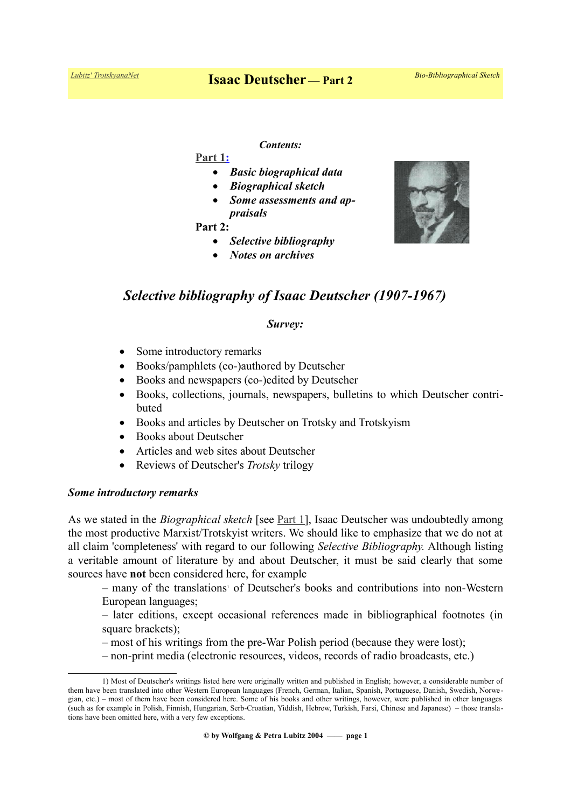#### *Contents:*

 **[Part 1:](https://www.trotskyana.net/Trotskyists/Bio-Bibliographies/bio-bibl_deutscher_i.pdf)**

- *Basic biographical data*
- *Biographical sketch*
- *Some assessments and appraisals*

**Part 2:**

- *Selective bibliography*
- *Notes on archives*



# *Survey:*

- Some introductory remarks
- Books/pamphlets (co-)authored by Deutscher
- Books and newspapers (co-)edited by Deutscher
- Books, collections, journals, newspapers, bulletins to which Deutscher contributed
- Books and articles by Deutscher on Trotsky and Trotsky ism
- Books about Deutscher
- Articles and web sites about Deutscher
- Reviews of Deutscher's *Trotsky* trilogy

## *Some introductory remarks*

As we stated in the *Biographical sketch* [see [Part 1\]](https://www.trotskyana.net/Trotskyists/Bio-Bibliographies/bio-bibl_deutscher_i.pdf), Isaac Deutscher was undoubtedly among the most productive Marxist/Trotskyist writers. We should like to emphasize that we do not at all claim 'completeness' with regard to our following *Selective Bibliography.* Although listing a veritable amount of literature by and about Deutscher, it must be said clearly that some sources have **not** been considered here, for example

–many of the translations<sup>1</sup> of Deutscher's books and contributions into non-Western European languages;

– later editions, except occasional references made in bibliographical footnotes (in square brackets);

– most of his writings from the pre-War Polish period (because they were lost);

<span id="page-0-0"></span>– non-print media (electronic resources, videos, records of radio broadcasts, etc.)



<sup>1)</sup> Most of Deutscher's writings listed here were originally written and published in English; however, a considerable number of them have been translated into other Western European languages (French, German, Italian, Spanish, Portuguese, Danish, Swedish, Norwegian, etc.) – most of them have been considered here. Some of his books and other writings, however, were published in other languages (such as for example in Polish, Finnish, Hungarian, Serb-Croatian, Yiddish, Hebrew, Turkish, Farsi, Chinese and Japanese) – those translations have been omitted here, with a very few exceptions.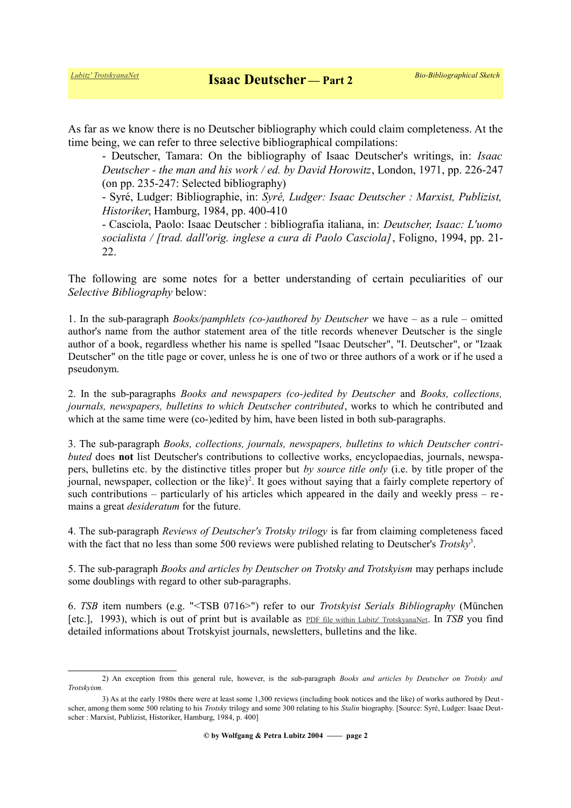As far as we know there is no Deutscher bibliography which could claim completeness. At the time being, we can refer to three selective bibliographical compilations:

- Deutscher, Tamara: On the bibliography of Isaac Deutscher's writings, in: *Isaac Deutscher - the man and his work / ed. by David Horowitz*, London, 1971, pp. 226-247 (on pp. 235-247: Selected bibliography)

- Syré, Ludger: Bibliographie, in: *Syré, Ludger: Isaac Deutscher : Marxist, Publizist, Historiker*, Hamburg, 1984, pp. 400-410

- Casciola, Paolo: Isaac Deutscher : bibliografia italiana, in: *Deutscher, Isaac: L'uomo socialista / [trad. dall'orig. inglese a cura di Paolo Casciola]*, Foligno, 1994, pp. 21- 22.

The following are some notes for a better understanding of certain peculiarities of our *Selective Bibliography* below:

1. In the sub-paragraph *Books/pamphlets (co-)authored by Deutscher* we have – as a rule – omitted author's name from the author statement area of the title records whenever Deutscher is the single author of a book, regardless whether his name is spelled "Isaac Deutscher", "I. Deutscher", or "Izaak Deutscher" on the title page or cover, unless he is one of two or three authors of a work or if he used a pseudonym.

2. In the sub-paragraphs *Books and newspapers (co-)edited by Deutscher* and *Books, collections, journals, newspapers, bulletins to which Deutscher contributed*, works to which he contributed and which at the same time were (co-)edited by him, have been listed in both sub-paragraphs.

3. The sub-paragraph *Books, collections, journals, newspapers, bulletins to which Deutscher contributed* does **not** list Deutscher's contributions to collective works, encyclopaedias, journals, newspapers, bulletins etc. by the distinctive titles proper but *by source title only* (i.e. by title proper of the journal, newspaper, collection or the like)<sup>[2](#page-1-0)</sup>. It goes without saying that a fairly complete repertory of such contributions – particularly of his articles which appeared in the daily and weekly press – re mains a great *desideratum* for the future.

4. The sub-paragraph *Reviews of Deutscher's Trotsky trilogy* is far from claiming completeness faced with the fact that no less than some 500 reviews were published relating to Deutscher's *Trotsky*<sup>[3](#page-1-1)</sup>.

5. The sub-paragraph *Books and articles by Deutscher on Trotsky and Trotskyism* may perhaps include some doublings with regard to other sub-paragraphs.

6. *TSB* item numbers (e.g. "<TSB 0716>") refer to our *Trotskyist Serials Bibliography* (München [etc.], 1993), which is out of print but is available as [PDF file within Lubitz' TrotskyanaNet](https://www.trotskyana.net/LubitzBibliographies/Serials_Bibliography/serials_bibliography.htm#PDF). In *TSB* you find detailed informations about Trotskyist journals, newsletters, bulletins and the like.

<span id="page-1-0"></span><sup>2)</sup> An exception from this general rule, however, is the sub-paragraph *Books and articles by Deutscher on Trotsky and Trotskyism.*

<span id="page-1-1"></span><sup>3)</sup> As at the early 1980s there were at least some 1,300 reviews (including book notices and the like) of works authored by Deutscher, among them some 500 relating to his *Trotsky* trilogy and some 300 relating to his *Stalin* biography. [Source: Syré, Ludger: Isaac Deutscher : Marxist, Publizist, Historiker, Hamburg, 1984, p. 400]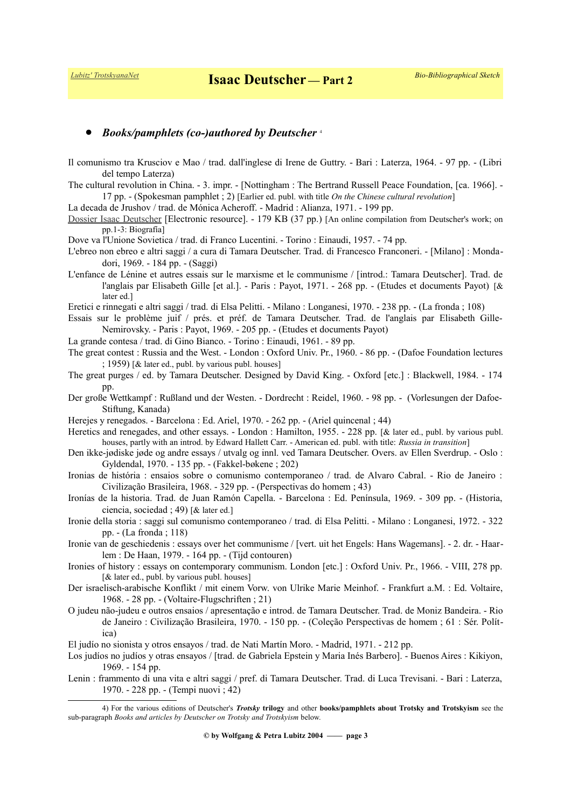## *Books/pamphlets (co-)authored by Deutscher*<sup>4</sup>

- Il comunismo tra Krusciov e Mao / trad. dall'inglese di Irene de Guttry. Bari : Laterza, 1964. 97 pp. (Libri del tempo Laterza)
- The cultural revolution in China. 3. impr. [Nottingham : The Bertrand Russell Peace Foundation, [ca. 1966]. 17 pp. - (Spokesman pamphlet ; 2) [Earlier ed. publ. with title *On the Chinese cultural revolution*]
- La decada de Jrushov / trad. de Mónica Acheroff. Madrid : Alianza, 1971. 199 pp.

[Dossier Isaac Deutscher](http://www.espaimarx.org/dosier-isaac-deutscher.pdf) [Electronic resource]. - 179 KB (37 pp.) [An online compilation from Deutscher's work; on pp.1-3: Biografía]

- Dove va l'Unione Sovietica / trad. di Franco Lucentini. Torino : Einaudi, 1957. 74 pp.
- L'ebreo non ebreo e altri saggi / a cura di Tamara Deutscher. Trad. di Francesco Franconeri. [Milano] : Mondadori, 1969. - 184 pp. - (Saggi)
- L'enfance de Lénine et autres essais sur le marxisme et le communisme / [introd.: Tamara Deutscher]. Trad. de l'anglais par Elisabeth Gille [et al.]. - Paris : Payot, 1971. - 268 pp. - (Etudes et documents Payot) [& later ed.]
- Eretici e rinnegati e altri saggi / trad. di Elsa Pelitti. Milano : Longanesi, 1970. 238 pp. (La fronda ; 108)
- Essais sur le problème juif / prés. et préf. de Tamara Deutscher. Trad. de l'anglais par Elisabeth Gille-Nemirovsky. - Paris : Payot, 1969. - 205 pp. - (Etudes et documents Payot)
- La grande contesa / trad. di Gino Bianco. Torino : Einaudi, 1961. 89 pp.
- The great contest : Russia and the West. London : Oxford Univ. Pr., 1960. 86 pp. (Dafoe Foundation lectures ; 1959) [& later ed., publ. by various publ. houses]
- The great purges / ed. by Tamara Deutscher. Designed by David King. Oxford [etc.] : Blackwell, 1984. 174 pp.
- Der große Wettkampf : Rußland und der Westen. Dordrecht : Reidel, 1960. 98 pp. (Vorlesungen der Dafoe-Stiftung, Kanada)
- Herejes y renegados. Barcelona : Ed. Ariel, 1970. 262 pp. (Ariel quincenal ; 44)
- Heretics and renegades, and other essays. London : Hamilton, 1955. 228 pp. [& later ed., publ. by various publ. houses, partly with an introd. by Edward Hallett Carr. - American ed. publ. with title: *Russia in transition*]
- Den ikke-jødiske jøde og andre essays / utvalg og innl. ved Tamara Deutscher. Overs. av Ellen Sverdrup. Oslo : Gyldendal, 1970. - 135 pp. - (Fakkel-bøkene ; 202)
- Ironias de história : ensaios sobre o comunismo contemporaneo / trad. de Alvaro Cabral. Rio de Janeiro : Civilização Brasileira, 1968. - 329 pp. - (Perspectivas do homem ; 43)
- Ironías de la historia. Trad. de Juan Ramón Capella. Barcelona : Ed. Península, 1969. 309 pp. (Historia, ciencia, sociedad ; 49) [& later ed.]
- Ironie della storia : saggi sul comunismo contemporaneo / trad. di Elsa Pelitti. Milano : Longanesi, 1972. 322 pp. - (La fronda ; 118)
- Ironie van de geschiedenis : essays over het communisme / [vert. uit het Engels: Hans Wagemans]. 2. dr. Haarlem : De Haan, 1979. - 164 pp. - (Tijd contouren)
- Ironies of history : essays on contemporary communism. London [etc.] : Oxford Univ. Pr., 1966. VIII, 278 pp. [& later ed., publ. by various publ. houses]
- Der israelisch-arabische Konflikt / mit einem Vorw. von Ulrike Marie Meinhof. Frankfurt a.M. : Ed. Voltaire, 1968. - 28 pp. - (Voltaire-Flugschriften ; 21)
- O judeu não-judeu e outros ensaios / apresentação e introd. de Tamara Deutscher. Trad. de Moniz Bandeira. Rio de Janeiro : Civilização Brasileira, 1970. - 150 pp. - (Coleção Perspectivas de homem ; 61 : Sér. Política)
- El judío no sionista y otros ensayos / trad. de Nati Martín Moro. Madrid, 1971. 212 pp.
- Los judíos no judíos y otras ensayos / [trad. de Gabriela Epstein y Maria Inés Barbero]. Buenos Aires : Kikiyon, 1969. - 154 pp.
- Lenin : frammento di una vita e altri saggi / pref. di Tamara Deutscher. Trad. di Luca Trevisani. Bari : Laterza, 1970. - 228 pp. - (Tempi nuovi ; 42)

<span id="page-2-0"></span><sup>4)</sup> For the various editions of Deutscher's *Trotsky* **trilogy** and other **books/pamphlets about Trotsky and Trotskyism** see the sub-paragraph *Books and articles by Deutscher on Trotsky and Trotskyism* below.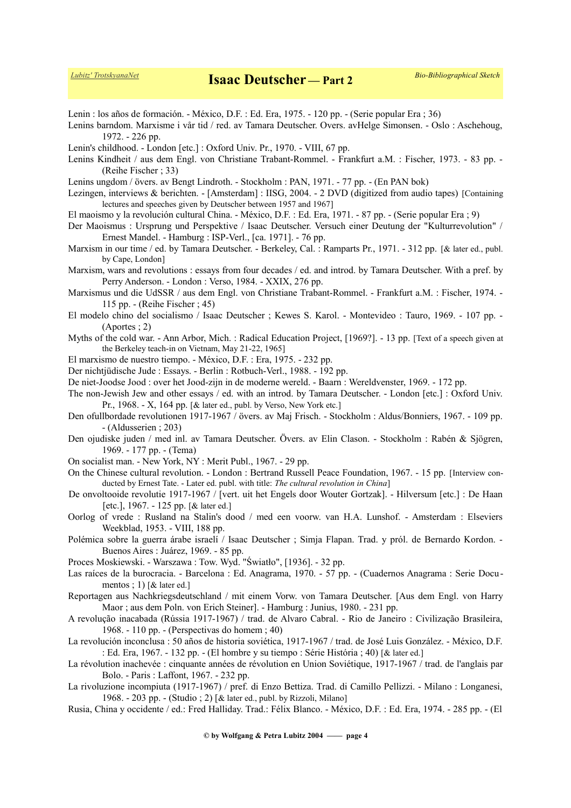Lenin : los años de formación. - México, D.F. : Ed. Era, 1975. - 120 pp. - (Serie popular Era ; 36)

Lenins barndom. Marxisme i vår tid / red. av Tamara Deutscher. Overs. avHelge Simonsen. - Oslo : Aschehoug, 1972. - 226 pp.

Lenin's childhood. - London [etc.] : Oxford Univ. Pr., 1970. - VIII, 67 pp.

Lenins Kindheit / aus dem Engl. von Christiane Trabant-Rommel. - Frankfurt a.M. : Fischer, 1973. - 83 pp. - (Reihe Fischer ; 33)

Lenins ungdom / övers. av Bengt Lindroth. - Stockholm : PAN, 1971. - 77 pp. - (En PAN bok)

- Lezingen, interviews & berichten. [Amsterdam] : IISG, 2004. 2 DVD (digitized from audio tapes) [Containing lectures and speeches given by Deutscher between 1957 and 1967]
- El maoismo y la revolución cultural China. México, D.F. : Ed. Era, 1971. 87 pp. (Serie popular Era ; 9)

Der Maoismus : Ursprung und Perspektive / Isaac Deutscher. Versuch einer Deutung der "Kulturrevolution" / Ernest Mandel. - Hamburg : ISP-Verl., [ca. 1971]. - 76 pp.

- Marxism in our time / ed. by Tamara Deutscher. Berkeley, Cal. : Ramparts Pr., 1971. 312 pp. [& later ed., publ. by Cape, London]
- Marxism, wars and revolutions : essays from four decades / ed. and introd. by Tamara Deutscher. With a pref. by Perry Anderson. - London : Verso, 1984. - XXIX, 276 pp.
- Marxismus und die UdSSR / aus dem Engl. von Christiane Trabant-Rommel. Frankfurt a.M. : Fischer, 1974. 115 pp. - (Reihe Fischer ; 45)
- El modelo chino del socialismo / Isaac Deutscher ; Kewes S. Karol. Montevideo : Tauro, 1969. 107 pp. (Aportes ; 2)
- Myths of the cold war. Ann Arbor, Mich. : Radical Education Project, [1969?]. 13 pp. [Text of a speech given at the Berkeley teach-in on Vietnam, May 21-22, 1965]
- El marxismo de nuestro tiempo. México, D.F. : Era, 1975. 232 pp.
- Der nichtjüdische Jude : Essays. Berlin : Rotbuch-Verl., 1988. 192 pp.
- De niet-Joodse Jood : over het Jood-zijn in de moderne wereld. Baarn : Wereldvenster, 1969. 172 pp.
- The non-Jewish Jew and other essays / ed. with an introd. by Tamara Deutscher. London [etc.] : Oxford Univ. Pr., 1968. - X, 164 pp. [& later ed., publ. by Verso, New York etc.]
- Den ofullbordade revolutionen 1917-1967 / övers. av Maj Frisch. Stockholm : Aldus/Bonniers, 1967. 109 pp. - (Aldusserien ; 203)
- Den ojudiske juden / med inl. av Tamara Deutscher. Övers. av Elin Clason. Stockholm : Rabén & Sjögren, 1969. - 177 pp. - (Tema)
- On socialist man. New York, NY : Merit Publ., 1967. 29 pp.
- On the Chinese cultural revolution. London : Bertrand Russell Peace Foundation, 1967. 15 pp. [Interview conducted by Ernest Tate. - Later ed. publ. with title: *The cultural revolution in China*]
- De onvoltooide revolutie 1917-1967 / [vert. uit het Engels door Wouter Gortzak]. Hilversum [etc.] : De Haan [etc.], 1967. - 125 pp. [& later ed.]
- Oorlog of vrede : Rusland na Stalin's dood / med een voorw. van H.A. Lunshof. Amsterdam : Elseviers Weekblad, 1953. - VIII, 188 pp.
- Polémica sobre la guerra árabe israelí / Isaac Deutscher ; Simja Flapan. Trad. y pról. de Bernardo Kordon. Buenos Aires : Juárez, 1969. - 85 pp.
- Proces Moskiewski. Warszawa : Tow. Wyd. "Światło", [1936]. 32 pp.
- Las raíces de la burocracia. Barcelona : Ed. Anagrama, 1970. 57 pp. (Cuadernos Anagrama : Serie Documentos ; 1) [& later ed.]
- Reportagen aus Nachkriegsdeutschland / mit einem Vorw. von Tamara Deutscher. [Aus dem Engl. von Harry Maor ; aus dem Poln. von Erich Steiner]. - Hamburg : Junius, 1980. - 231 pp.
- A revolução inacabada (Rússia 1917-1967) / trad. de Alvaro Cabral. Rio de Janeiro : Civilização Brasileira, 1968. - 110 pp. - (Perspectivas do homem ; 40)
- La revolución inconclusa : 50 años de historia soviética, 1917-1967 / trad. de José Luis González. México, D.F. : Ed. Era, 1967. - 132 pp. - (El hombre y su tiempo : Série História ; 40) [& later ed.]
- La révolution inachevée : cinquante années de révolution en Union Soviétique, 1917-1967 / trad. de l'anglais par Bolo. - Paris : Laffont, 1967. - 232 pp.
- La rivoluzione incompiuta (1917-1967) / pref. di Enzo Bettiza. Trad. di Camillo Pellizzi. Milano : Longanesi, 1968. - 203 pp. - (Studio ; 2) [& later ed., publ. by Rizzoli, Milano]
- Rusia, China y occidente / ed.: Fred Halliday. Trad.: Félix Blanco. México, D.F. : Ed. Era, 1974. 285 pp. (El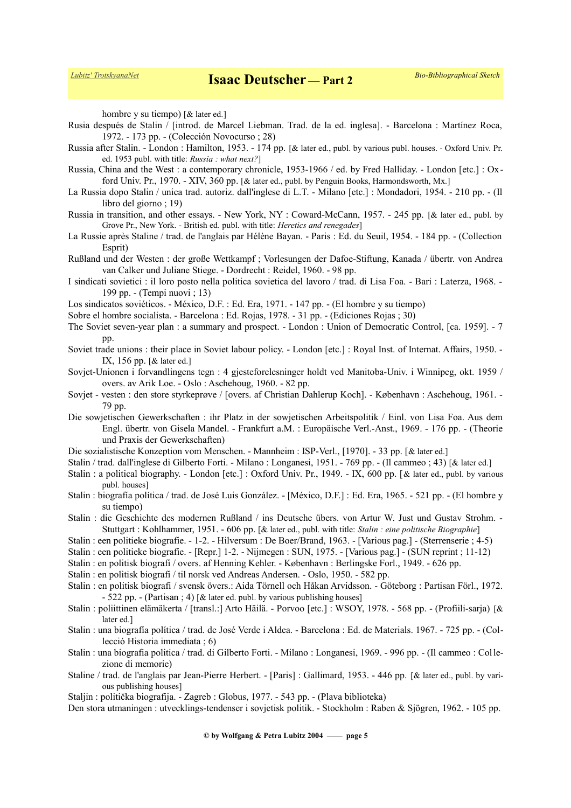hombre y su tiempo) [ & later ed.]

- Rusia después de Stalin / [introd. de Marcel Liebman. Trad. de la ed. inglesa]. Barcelona : Martínez Roca, 1972. - 173 pp. - (Colección Novocurso ; 28)
- Russia after Stalin. London : Hamilton, 1953. 174 pp. [& later ed., publ. by various publ. houses. Oxford Univ. Pr. ed. 1953 publ. with title: *Russia : what next?*]
- Russia, China and the West : a contemporary chronicle, 1953-1966 / ed. by Fred Halliday. London [etc.] : Ox ford Univ. Pr., 1970. - XIV, 360 pp. [& later ed., publ. by Penguin Books, Harmondsworth, Mx.]
- La Russia dopo Stalin / unica trad. autoriz. dall'inglese di L.T. Milano [etc.] : Mondadori, 1954. 210 pp. (Il libro del giorno ; 19)
- Russia in transition, and other essays. New York, NY : Coward-McCann, 1957. 245 pp. [& later ed., publ. by Grove Pr., New York. - British ed. publ. with title: *Heretics and renegades*]
- La Russie après Staline / trad. de l'anglais par Hélène Bayan. Paris : Ed. du Seuil, 1954. 184 pp. (Collection Esprit)
- Rußland und der Westen : der große Wettkampf ; Vorlesungen der Dafoe-Stiftung, Kanada / übertr. von Andrea van Calker und Juliane Stiege. - Dordrecht : Reidel, 1960. - 98 pp.
- I sindicati sovietici : il loro posto nella politica sovietica del lavoro / trad. di Lisa Foa. Bari : Laterza, 1968. 199 pp. - (Tempi nuovi ; 13)
- Los sindicatos soviéticos. México, D.F. : Ed. Era, 1971. 147 pp. (El hombre y su tiempo)
- Sobre el hombre socialista. Barcelona : Ed. Rojas, 1978. 31 pp. (Ediciones Rojas ; 30)
- The Soviet seven-year plan : a summary and prospect. London : Union of Democratic Control, [ca. 1959]. 7 pp.
- Soviet trade unions : their place in Soviet labour policy. London [etc.] : Royal Inst. of Internat. Affairs, 1950. IX, 156 pp. [& later ed.]
- Sovjet-Unionen i forvandlingens tegn : 4 gjesteforelesninger holdt ved Manitoba-Univ. i Winnipeg, okt. 1959 / overs. av Arik Loe. - Oslo : Aschehoug, 1960. - 82 pp.
- Sovjet vesten : den store styrkeprøve / [overs. af Christian Dahlerup Koch]. København : Aschehoug, 1961. 79 pp.
- Die sowjetischen Gewerkschaften : ihr Platz in der sowjetischen Arbeitspolitik / Einl. von Lisa Foa. Aus dem Engl. übertr. von Gisela Mandel. - Frankfurt a.M. : Europäische Verl.-Anst., 1969. - 176 pp. - (Theorie und Praxis der Gewerkschaften)
- Die sozialistische Konzeption vom Menschen. Mannheim : ISP-Verl., [1970]. 33 pp. [& later ed.]
- Stalin / trad. dall'inglese di Gilberto Forti. Milano : Longanesi, 1951. 769 pp. (Il cammeo ; 43) [& later ed.]
- Stalin : a political biography. London [etc.] : Oxford Univ. Pr., 1949. IX, 600 pp. [& later ed., publ. by various publ. houses]
- Stalin : biografía política / trad. de José Luis González. [México, D.F.] : Ed. Era, 1965. 521 pp. (El hombre y su tiempo)
- Stalin : die Geschichte des modernen Rußland / ins Deutsche übers. von Artur W. Just und Gustav Strohm. Stuttgart : Kohlhammer, 1951. - 606 pp. [& later ed., publ. with title: *Stalin : eine politische Biographie*]
- Stalin : een politieke biografie. 1-2. Hilversum : De Boer/Brand, 1963. [Various pag.] (Sterrenserie ; 4-5)
- Stalin : een politieke biografie. [Repr.] 1-2. Nijmegen : SUN, 1975. [Various pag.] (SUN reprint ; 11-12)
- Stalin : en politisk biografi / overs. af Henning Kehler. København : Berlingske Forl., 1949. 626 pp.
- Stalin : en politisk biografi / til norsk ved Andreas Andersen. Oslo, 1950. 582 pp.
- Stalin : en politisk biografi / svensk övers.: Aida Törnell och Håkan Arvidsson. Göteborg : Partisan Förl., 1972. - 522 pp. - (Partisan ; 4) [& later ed. publ. by various publishing houses]
- Stalin : poliittinen elämäkerta / [transl.:] Arto Häilä. Porvoo [etc.] : WSOY, 1978. 568 pp. (Profiili-sarja) [& later ed.]
- Stalin : una biografía política / trad. de José Verde i Aldea. Barcelona : Ed. de Materials. 1967. 725 pp. (Collecció Historia immediata ; 6)
- Stalin : una biografia politica / trad. di Gilberto Forti. Milano : Longanesi, 1969. 996 pp. (Il cammeo : Collezione di memorie)
- Staline / trad. de l'anglais par Jean-Pierre Herbert. [Paris] : Gallimard, 1953. 446 pp. [& later ed., publ. by various publishing houses]
- Staljin : politička biografija. Zagreb : Globus, 1977. 543 pp. (Plava biblioteka)
- Den stora utmaningen : utvecklings-tendenser i sovjetisk politik. Stockholm : Raben & Sjögren, 1962. 105 pp.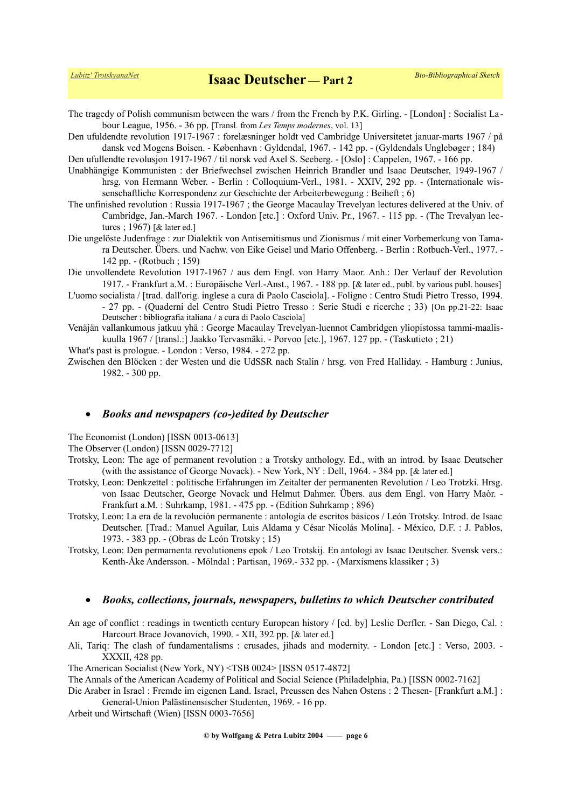- The tragedy of Polish communism between the wars / from the French by P.K. Girling. [London] : Socialist La bour League, 1956. - 36 pp. [Transl. from *Les Temps modernes*, vol. 13]
- Den ufuldendte revolution 1917-1967 : forelæsninger holdt ved Cambridge Universitetet januar-marts 1967 / på dansk ved Mogens Boisen. - København : Gyldendal, 1967. - 142 pp. - (Gyldendals Unglebøger ; 184)

Den ufullendte revolusjon 1917-1967 / til norsk ved Axel S. Seeberg. - [Oslo] : Cappelen, 1967. - 166 pp.

- Unabhängige Kommunisten : der Briefwechsel zwischen Heinrich Brandler und Isaac Deutscher, 1949-1967 / hrsg. von Hermann Weber. - Berlin : Colloquium-Verl., 1981. - XXIV, 292 pp. - (Internationale wissenschaftliche Korrespondenz zur Geschichte der Arbeiterbewegung : Beiheft ; 6)
- The unfinished revolution : Russia 1917-1967 ; the George Macaulay Trevelyan lectures delivered at the Univ. of Cambridge, Jan.-March 1967. - London [etc.] : Oxford Univ. Pr., 1967. - 115 pp. - (The Trevalyan lectures ; 1967) [& later ed.]
- Die ungelöste Judenfrage : zur Dialektik von Antisemitismus und Zionismus / mit einer Vorbemerkung von Tamara Deutscher. Übers. und Nachw. von Eike Geisel und Mario Offenberg. - Berlin : Rotbuch-Verl., 1977. - 142 pp. - (Rotbuch ; 159)
- Die unvollendete Revolution 1917-1967 / aus dem Engl. von Harry Maor. Anh.: Der Verlauf der Revolution 1917. - Frankfurt a.M. : Europäische Verl.-Anst., 1967. - 188 pp. [& later ed., publ. by various publ. houses]
- L'uomo socialista / [trad. dall'orig. inglese a cura di Paolo Casciola]. Foligno : Centro Studi Pietro Tresso, 1994. - 27 pp. - (Quaderni del Centro Studi Pietro Tresso : Serie Studi e ricerche ; 33) [On pp.21-22: Isaac Deutscher : bibliografia italiana / a cura di Paolo Casciola]
- Venäjän vallankumous jatkuu yhä : George Macaulay Trevelyan-luennot Cambridgen yliopistossa tammi-maaliskuulla 1967 / [transl.:] Jaakko Tervasmäki. - Porvoo [etc.], 1967. 127 pp. - (Taskutieto ; 21)
- What's past is prologue. London : Verso, 1984. 272 pp.
- Zwischen den Blöcken : der Westen und die UdSSR nach Stalin / hrsg. von Fred Halliday. Hamburg : Junius, 1982. - 300 pp.

### *Books and newspapers (co-)edited by Deutscher*

The Economist (London) [ISSN 0013-0613]

The Observer (London) [ISSN 0029-7712]

- Trotsky, Leon: The age of permanent revolution : a Trotsky anthology. Ed., with an introd. by Isaac Deutscher (with the assistance of George Novack). - New York, NY : Dell, 1964. - 384 pp. [& later ed.]
- Trotsky, Leon: Denkzettel : politische Erfahrungen im Zeitalter der permanenten Revolution / Leo Trotzki. Hrsg. von Isaac Deutscher, George Novack und Helmut Dahmer. Übers. aus dem Engl. von Harry Maòr. - Frankfurt a.M. : Suhrkamp, 1981. - 475 pp. - (Edition Suhrkamp ; 896)
- Trotsky, Leon: La era de la revolución permanente : antología de escritos básicos / León Trotsky. Introd. de Isaac Deutscher. [Trad.: Manuel Aguilar, Luis Aldama y César Nicolás Molina]. - México, D.F. : J. Pablos, 1973. - 383 pp. - (Obras de León Trotsky ; 15)
- Trotsky, Leon: Den permamenta revolutionens epok / Leo Trotskij. En antologi av Isaac Deutscher. Svensk vers.: Kenth-Åke Andersson. - Mölndal : Partisan, 1969.- 332 pp. - (Marxismens klassiker ; 3)

#### *Books, collections, journals, newspapers, bulletins to which Deutscher contributed*

An age of conflict : readings in twentieth century European history / [ed. by] Leslie Derfler. - San Diego, Cal. : Harcourt Brace Jovanovich, 1990. - XII, 392 pp. [& later ed.]

Ali, Tariq: The clash of fundamentalisms : crusades, jihads and modernity. - London [etc.] : Verso, 2003. - XXXII, 428 pp.

The American Socialist (New York, NY) <TSB 0024> [ISSN 0517-4872]

The Annals of the American Academy of Political and Social Science (Philadelphia, Pa.) [ISSN 0002-7162]

Die Araber in Israel : Fremde im eigenen Land. Israel, Preussen des Nahen Ostens : 2 Thesen- [Frankfurt a.M.] : General-Union Palästinensischer Studenten, 1969. - 16 pp.

Arbeit und Wirtschaft (Wien) [ISSN 0003-7656]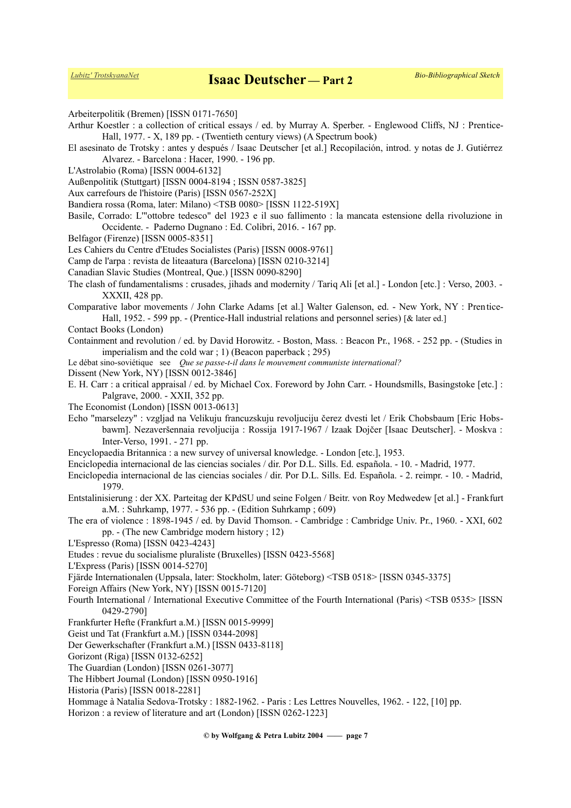Arbeiterpolitik (Bremen) [ISSN 0171-7650]

- Arthur Koestler : a collection of critical essays / ed. by Murray A. Sperber. Englewood Cliffs, NJ : Prentice-Hall, 1977. - X, 189 pp. - (Twentieth century views) (A Spectrum book)
- El asesinato de Trotsky : antes y después / Isaac Deutscher [et al.] Recopilación, introd. y notas de J. Gutiérrez Alvarez. - Barcelona : Hacer, 1990. - 196 pp.
- L'Astrolabio (Roma) [ISSN 0004-6132]
- Außenpolitik (Stuttgart) [ISSN 0004-8194 ; ISSN 0587-3825]
- Aux carrefours de l'histoire (Paris) [ISSN 0567-252X]
- Bandiera rossa (Roma, later: Milano) <TSB 0080> [ISSN 1122-519X]
- Basile, Corrado: L'"ottobre tedesco" del 1923 e il suo fallimento : la mancata estensione della rivoluzione in Occidente. - Paderno Dugnano : Ed. Colibri, 2016. - 167 pp.
- Belfagor (Firenze) [ISSN 0005-8351]
- Les Cahiers du Centre d'Etudes Socialistes (Paris) [ISSN 0008-9761]
- Camp de l'arpa : revista de liteaatura (Barcelona) [ISSN 0210-3214]
- Canadian Slavic Studies (Montreal, Que.) [ISSN 0090-8290]
- The clash of fundamentalisms : crusades, jihads and modernity / Tariq Ali [et al.] London [etc.] : Verso, 2003. XXXII, 428 pp.
- Comparative labor movements / John Clarke Adams [et al.] Walter Galenson, ed. New York, NY : Prentice-Hall, 1952. - 599 pp. - (Prentice-Hall industrial relations and personnel series) [& later ed.]
- Contact Books (London)
- Containment and revolution / ed. by David Horowitz. Boston, Mass. : Beacon Pr., 1968. 252 pp. (Studies in imperialism and the cold war ; 1) (Beacon paperback ; 295)
- Le débat sino-soviétique see *Que se passe-t-il dans le mouvement communiste international?*
- Dissent (New York, NY) [ISSN 0012-3846]
- E. H. Carr : a critical appraisal / ed. by Michael Cox. Foreword by John Carr. Houndsmills, Basingstoke [etc.] : Palgrave, 2000. - XXII, 352 pp.
- The Economist (London) [ISSN 0013-0613]
- Echo "marselezy" : vzgljad na Velikuju francuzskuju revoljuciju čerez dvesti let / Erik Chobsbaum [Eric Hobsbawm]. Nezaveršennaia revoljucija : Rossija 1917-1967 / Izaak Dojčer [Isaac Deutscher]. - Moskva : Inter-Verso, 1991. - 271 pp.
- Encyclopaedia Britannica : a new survey of universal knowledge. London [etc.], 1953.
- Enciclopedia internacional de las ciencias sociales / dir. Por D.L. Sills. Ed. española. 10. Madrid, 1977.
- Enciclopedia internacional de las ciencias sociales / dir. Por D.L. Sills. Ed. Española. 2. reimpr. 10. Madrid, 1979.
- Entstalinisierung : der XX. Parteitag der KPdSU und seine Folgen / Beitr. von Roy Medwedew [et al.] Frankfurt a.M. : Suhrkamp, 1977. - 536 pp. - (Edition Suhrkamp ; 609)
- The era of violence : 1898-1945 / ed. by David Thomson. Cambridge : Cambridge Univ. Pr., 1960. XXI, 602 pp. - (The new Cambridge modern history ; 12)
- L'Espresso (Roma) [ISSN 0423-4243]
- Etudes : revue du socialisme pluraliste (Bruxelles) [ISSN 0423-5568]
- L'Express (Paris) [ISSN 0014-5270]
- Fjärde Internationalen (Uppsala, later: Stockholm, later: Göteborg) <TSB 0518> [ISSN 0345-3375]
- Foreign Affairs (New York, NY) [ISSN 0015-7120]
- Fourth International / International Executive Committee of the Fourth International (Paris) <TSB 0535> [ISSN 0429-2790]
- Frankfurter Hefte (Frankfurt a.M.) [ISSN 0015-9999]
- Geist und Tat (Frankfurt a.M.) [ISSN 0344-2098]
- Der Gewerkschafter (Frankfurt a.M.) [ISSN 0433-8118]
- Gorizont (Riga) [ISSN 0132-6252]
- The Guardian (London) [ISSN 0261-3077]
- The Hibbert Journal (London) [ISSN 0950-1916]
- Historia (Paris) [ISSN 0018-2281]
- Hommage à Natalia Sedova-Trotsky : 1882-1962. Paris : Les Lettres Nouvelles, 1962. 122, [10] pp.
- Horizon : a review of literature and art (London) [ISSN 0262-1223]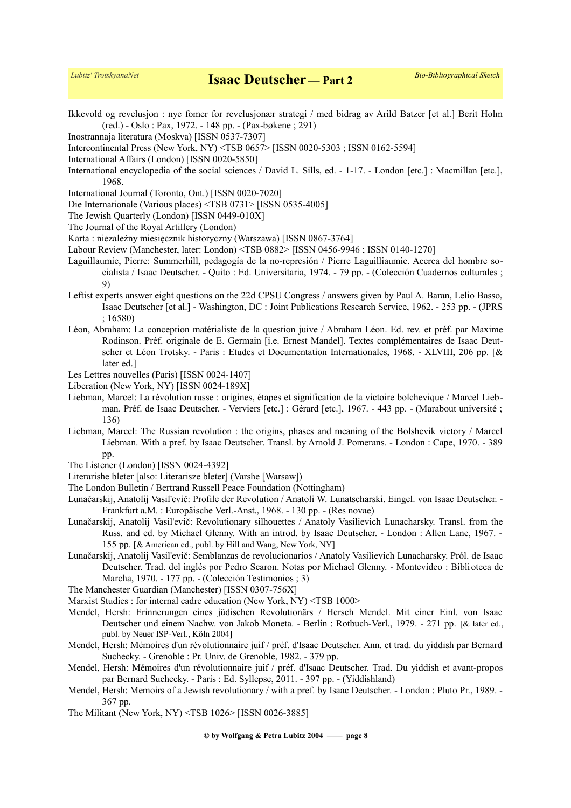Ikkevold og revelusjon : nye fomer for revelusjonær strategi / med bidrag av Arild Batzer [et al.] Berit Holm (red.) - Oslo : Pax, 1972. - 148 pp. - (Pax-bøkene ; 291)

- Inostrannaja literatura (Moskva) [ISSN 0537-7307]
- Intercontinental Press (New York, NY) <TSB 0657> [ISSN 0020-5303 ; ISSN 0162-5594]
- International Affairs (London) [ISSN 0020-5850]
- International encyclopedia of the social sciences / David L. Sills, ed. 1-17. London [etc.] : Macmillan [etc.], 1968.
- International Journal (Toronto, Ont.) [ISSN 0020-7020]
- Die Internationale (Various places) <TSB 0731> [ISSN 0535-4005]
- The Jewish Quarterly (London) [ISSN 0449-010X]
- The Journal of the Royal Artillery (London)
- Karta : niezależny miesięcznik historyczny (Warszawa) [ISSN 0867-3764]
- Labour Review (Manchester, later: London) <TSB 0882> [ISSN 0456-9946 ; ISSN 0140-1270]
- Laguillaumie, Pierre: Summerhill, pedagogía de la no-represión / Pierre Laguilliaumie. Acerca del hombre socialista / Isaac Deutscher. - Quito : Ed. Universitaria, 1974. - 79 pp. - (Colección Cuadernos culturales ; 9)
- Leftist experts answer eight questions on the 22d CPSU Congress / answers given by Paul A. Baran, Lelio Basso, Isaac Deutscher [et al.] - Washington, DC : Joint Publications Research Service, 1962. - 253 pp. - (JPRS ; 16580)
- Léon, Abraham: La conception matérialiste de la question juive / Abraham Léon. Ed. rev. et préf. par Maxime Rodinson. Préf. originale de E. Germain [i.e. Ernest Mandel]. Textes complémentaires de Isaac Deutscher et Léon Trotsky. - Paris : Etudes et Documentation Internationales, 1968. - XLVIII, 206 pp. [& later ed.]
- Les Lettres nouvelles (Paris) [ISSN 0024-1407]
- Liberation (New York, NY) [ISSN 0024-189X]
- Liebman, Marcel: La révolution russe : origines, étapes et signification de la victoire bolchevique / Marcel Liebman. Préf. de Isaac Deutscher. - Verviers [etc.] : Gérard [etc.], 1967. - 443 pp. - (Marabout université ; 136)
- Liebman, Marcel: The Russian revolution : the origins, phases and meaning of the Bolshevik victory / Marcel Liebman. With a pref. by Isaac Deutscher. Transl. by Arnold J. Pomerans. - London : Cape, 1970. - 389 pp.
- The Listener (London) [ISSN 0024-4392]
- Literarishe bleter [also: Literarisze bleter] (Varshe [Warsaw])
- The London Bulletin / Bertrand Russell Peace Foundation (Nottingham)
- Lunačarskij, Anatolij Vasil'evič: Profile der Revolution / Anatoli W. Lunatscharski. Eingel. von Isaac Deutscher. Frankfurt a.M. : Europäische Verl.-Anst., 1968. - 130 pp. - (Res novae)
- Lunačarskij, Anatolij Vasil'evič: Revolutionary silhouettes / Anatoly Vasilievich Lunacharsky. Transl. from the Russ. and ed. by Michael Glenny. With an introd. by Isaac Deutscher. - London : Allen Lane, 1967. - 155 pp. [& American ed., publ. by Hill and Wang, New York, NY]
- Lunačarskij, Anatolij Vasil'evič: Semblanzas de revolucionarios / Anatoly Vasilievich Lunacharsky. Pról. de Isaac Deutscher. Trad. del inglés por Pedro Scaron. Notas por Michael Glenny. - Montevideo : Biblioteca de Marcha, 1970. - 177 pp. - (Colección Testimonios ; 3)
- The Manchester Guardian (Manchester) [ISSN 0307-756X]
- Marxist Studies : for internal cadre education (New York, NY) <TSB 1000>
- Mendel, Hersh: Erinnerungen eines jüdischen Revolutionärs / Hersch Mendel. Mit einer Einl. von Isaac Deutscher und einem Nachw. von Jakob Moneta. - Berlin : Rotbuch-Verl., 1979. - 271 pp. [& later ed., publ. by Neuer ISP-Verl., Köln 2004]
- Mendel, Hersh: Mémoires d'un révolutionnaire juif / préf. d'Isaac Deutscher. Ann. et trad. du yiddish par Bernard Suchecky. - Grenoble : Pr. Univ. de Grenoble, 1982. - 379 pp.
- Mendel, Hersh: Mémoires d'un révolutionnaire juif / préf. d'Isaac Deutscher. Trad. Du yiddish et avant-propos par Bernard Suchecky. - Paris : Ed. Syllepse, 2011. - 397 pp. - (Yiddishland)
- Mendel, Hersh: Memoirs of a Jewish revolutionary / with a pref. by Isaac Deutscher. London : Pluto Pr., 1989. 367 pp.
- The Militant (New York, NY) <TSB 1026> [ISSN 0026-3885]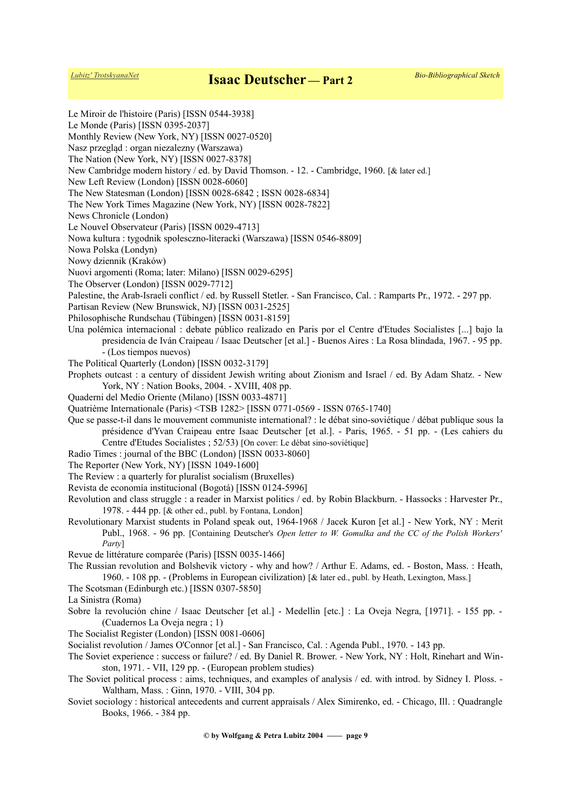Le Miroir de l'histoire (Paris) [ISSN 0544-3938] Le Monde (Paris) [ISSN 0395-2037] Monthly Review (New York, NY) [ISSN 0027-0520] Nasz przegląd : organ niezalezny (Warszawa) The Nation (New York, NY) [ISSN 0027-8378] New Cambridge modern history / ed. by David Thomson. - 12. - Cambridge, 1960. [& later ed.] New Left Review (London) [ISSN 0028-6060] The New Statesman (London) [ISSN 0028-6842 ; ISSN 0028-6834] The New York Times Magazine (New York, NY) [ISSN 0028-7822] News Chronicle (London) Le Nouvel Observateur (Paris) [ISSN 0029-4713] Nowa kultura : tygodnik społesczno-literacki (Warszawa) [ISSN 0546-8809] Nowa Polska (Londyn) Nowy dziennik (Kraków) Nuovi argomenti (Roma; later: Milano) [ISSN 0029-6295] The Observer (London) [ISSN 0029-7712] Palestine, the Arab-Israeli conflict / ed. by Russell Stetler. - San Francisco, Cal. : Ramparts Pr., 1972. - 297 pp. Partisan Review (New Brunswick, NJ) [ISSN 0031-2525] Philosophische Rundschau (Tübingen) [ISSN 0031-8159] Una polémica internacional : debate público realizado en Paris por el Centre d'Etudes Socialistes [...] bajo la presidencia de Iván Craipeau / Isaac Deutscher [et al.] - Buenos Aires : La Rosa blindada, 1967. - 95 pp. - (Los tiempos nuevos) The Political Quarterly (London) [ISSN 0032-3179] Prophets outcast : a century of dissident Jewish writing about Zionism and Israel / ed. By Adam Shatz. - New York, NY : Nation Books, 2004. - XVIII, 408 pp. Quaderni del Medio Oriente (Milano) [ISSN 0033-4871] Quatrième Internationale (Paris) <TSB 1282> [ISSN 0771-0569 - ISSN 0765-1740] Que se passe-t-il dans le mouvement communiste international? : le débat sino-soviétique / débat publique sous la présidence d'Yvan Craipeau entre Isaac Deutscher [et al.]. - Paris, 1965. - 51 pp. - (Les cahiers du Centre d'Etudes Socialistes ; 52/53) [On cover: Le débat sino-soviétique] Radio Times : journal of the BBC (London) [ISSN 0033-8060] The Reporter (New York, NY) [ISSN 1049-1600] The Review : a quarterly for pluralist socialism (Bruxelles) Revista de economía institucional (Bogotá) [ISSN 0124-5996] Revolution and class struggle : a reader in Marxist politics / ed. by Robin Blackburn. - Hassocks : Harvester Pr., 1978. - 444 pp. [& other ed., publ. by Fontana, London] Revolutionary Marxist students in Poland speak out, 1964-1968 / Jacek Kuron [et al.] - New York, NY : Merit Publ., 1968. - 96 pp. [Containing Deutscher's *Open letter to W. Gomulka and the CC of the Polish Workers' Party*] Revue de littérature comparée (Paris) [ISSN 0035-1466] The Russian revolution and Bolshevik victory - why and how? / Arthur E. Adams, ed. - Boston, Mass. : Heath, 1960. - 108 pp. - (Problems in European civilization) [& later ed., publ. by Heath, Lexington, Mass.] The Scotsman (Edinburgh etc.) [ISSN 0307-5850] La Sinistra (Roma) Sobre la revolución chine / Isaac Deutscher [et al.] - Medellin [etc.] : La Oveja Negra, [1971]. - 155 pp. - (Cuadernos La Oveja negra ; 1) The Socialist Register (London) [ISSN 0081-0606] Socialist revolution / James O'Connor [et al.] - San Francisco, Cal. : Agenda Publ., 1970. - 143 pp. The Soviet experience : success or failure? / ed. By Daniel R. Brower. - New York, NY : Holt, Rinehart and Winston, 1971. - VII, 129 pp. - (European problem studies) The Soviet political process : aims, techniques, and examples of analysis / ed. with introd. by Sidney I. Ploss. - Waltham, Mass. : Ginn, 1970. - VIII, 304 pp. Soviet sociology : historical antecedents and current appraisals / Alex Simirenko, ed. - Chicago, Ill. : Quadrangle Books, 1966. - 384 pp.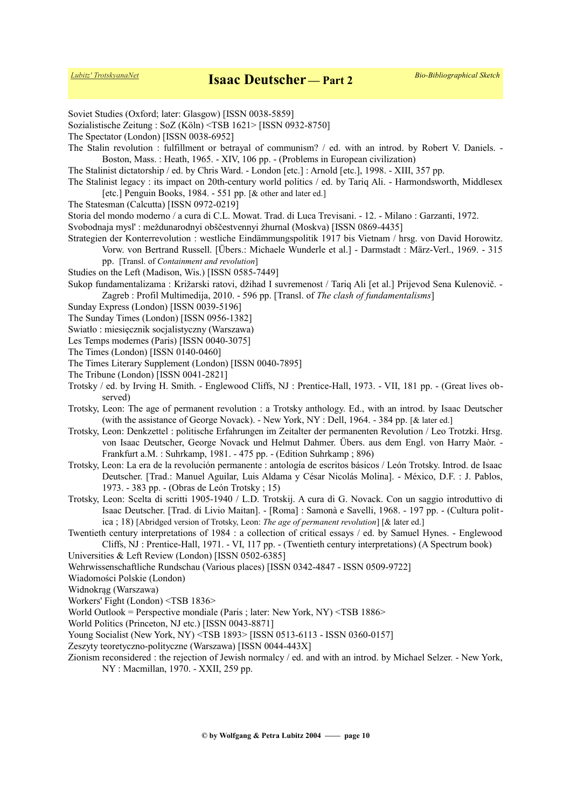Soviet Studies (Oxford; later: Glasgow) [ISSN 0038-5859] Sozialistische Zeitung : SoZ (Köln) <TSB 1621> [ISSN 0932-8750] The Spectator (London) [ISSN 0038-6952] The Stalin revolution : fulfillment or betrayal of communism? / ed. with an introd. by Robert V. Daniels. - Boston, Mass. : Heath, 1965. - XIV, 106 pp. - (Problems in European civilization) The Stalinist dictatorship / ed. by Chris Ward. - London [etc.] : Arnold [etc.], 1998. - XIII, 357 pp. The Stalinist legacy : its impact on 20th-century world politics / ed. by Tariq Ali. - Harmondsworth, Middlesex [etc.] Penguin Books, 1984. - 551 pp. [& other and later ed.] The Statesman (Calcutta) [ISSN 0972-0219] Storia del mondo moderno / a cura di C.L. Mowat. Trad. di Luca Trevisani. - 12. - Milano : Garzanti, 1972. Svobodnaja mysl' : meždunarodnyi obščestvennyi žhurnal (Moskva) [ISSN 0869-4435] Strategien der Konterrevolution : westliche Eindämmungspolitik 1917 bis Vietnam / hrsg. von David Horowitz. Vorw. von Bertrand Russell. [Übers.: Michaele Wunderle et al.] - Darmstadt : März-Verl., 1969. - 315 pp. [Transl. of *Containment and revolution*] Studies on the Left (Madison, Wis.) [ISSN 0585-7449] Sukop fundamentalizama : Križarski ratovi, džihad I suvremenost / Tariq Ali [et al.] Prijevod Sena Kulenovič. - Zagreb : Profil Multimedija, 2010. - 596 pp. [Transl. of *The clash of fundamentalisms*] Sunday Express (London) [ISSN 0039-5196] The Sunday Times (London) [ISSN 0956-1382] Swiatło : miesięcznik socjalistyczny (Warszawa) Les Temps modernes (Paris) [ISSN 0040-3075] The Times (London) [ISSN 0140-0460] The Times Literary Supplement (London) [ISSN 0040-7895] The Tribune (London) [ISSN 0041-2821] Trotsky / ed. by Irving H. Smith. - Englewood Cliffs, NJ : Prentice-Hall, 1973. - VII, 181 pp. - (Great lives observed) Trotsky, Leon: The age of permanent revolution : a Trotsky anthology. Ed., with an introd. by Isaac Deutscher (with the assistance of George Novack). - New York, NY : Dell, 1964. - 384 pp. [& later ed.] Trotsky, Leon: Denkzettel : politische Erfahrungen im Zeitalter der permanenten Revolution / Leo Trotzki. Hrsg. von Isaac Deutscher, George Novack und Helmut Dahmer. Übers. aus dem Engl. von Harry Maòr. - Frankfurt a.M. : Suhrkamp, 1981. - 475 pp. - (Edition Suhrkamp ; 896) Trotsky, Leon: La era de la revolución permanente : antología de escritos básicos / León Trotsky. Introd. de Isaac Deutscher. [Trad.: Manuel Aguilar, Luis Aldama y César Nicolás Molina]. - México, D.F. : J. Pablos, 1973. - 383 pp. - (Obras de León Trotsky ; 15) Trotsky, Leon: Scelta di scritti 1905-1940 / L.D. Trotskij. A cura di G. Novack. Con un saggio introduttivo di Isaac Deutscher. [Trad. di Livio Maitan]. - [Roma] : Samonà e Savelli, 1968. - 197 pp. - (Cultura politica ; 18) [Abridged version of Trotsky, Leon: *The age of permanent revolution*] [& later ed.] Twentieth century interpretations of 1984 : a collection of critical essays / ed. by Samuel Hynes. - Englewood Cliffs, NJ : Prentice-Hall, 1971. - VI, 117 pp. - (Twentieth century interpretations) (A Spectrum book) Universities & Left Review (London) [ISSN 0502-6385] Wehrwissenschaftliche Rundschau (Various places) [ISSN 0342-4847 - ISSN 0509-9722] Wiadomości Polskie (London) Widnokrąg (Warszawa) Workers' Fight (London) <TSB 1836>

World Outlook = Perspective mondiale (Paris ; later: New York, NY) <TSB 1886>

World Politics (Princeton, NJ etc.) [ISSN 0043-8871]

Young Socialist (New York, NY) <TSB 1893> [ISSN 0513-6113 - ISSN 0360-0157]

Zeszyty teoretyczno-polityczne (Warszawa) [ISSN 0044-443X]

Zionism reconsidered : the rejection of Jewish normalcy / ed. and with an introd. by Michael Selzer. - New York, NY : Macmillan, 1970. - XXII, 259 pp.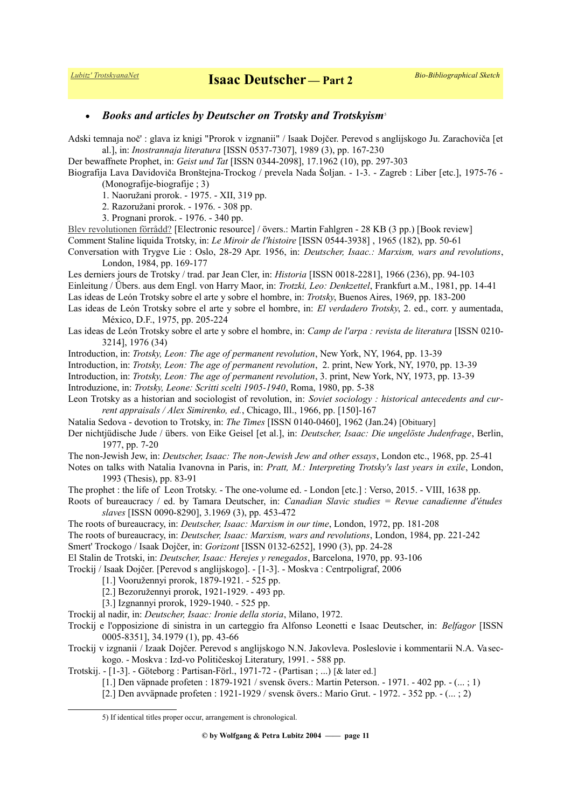## *Books and articles by Deutscher on Trotsky and Trotskyism*[5](#page-10-0)

Adski temnaja noč' : glava iz knigi "Prorok v izgnanii" / Isaak Dojčer. Perevod s anglijskogo Ju. Zarachoviča [et al.], in: *Inostrannaja literatura* [ISSN 0537-7307], 1989 (3), pp. 167-230

Der bewaffnete Prophet, in: *Geist und Tat* [ISSN 0344-2098], 17.1962 (10), pp. 297-303

Biografija Lava Davidoviča Bronštejna-Trockog / prevela Nada Šoljan. - 1-3. - Zagreb : Liber [etc.], 1975-76 - (Monografije-biografije ; 3)

1. Naoružani prorok. - 1975. - XII, 319 pp.

2. Razoružani prorok. - 1976. - 308 pp.

3. Prognani prorok. - 1976. - 340 pp.

[Blev revolutionen förrådd?](http://www.marxistarkiv.se/klassiker/deutscher/blev_revolutionen-forradd.pdf) [Electronic resource] / övers.: Martin Fahlgren - 28 KB (3 pp.) [Book review] Comment Staline liquida Trotsky, in: *Le Miroir de l'histoire* [ISSN 0544-3938] , 1965 (182), pp. 50-61

Conversation with Trygve Lie : Oslo, 28-29 Apr. 1956, in: *Deutscher, Isaac.: Marxism, wars and revolutions*, London, 1984, pp. 169-177

Les derniers jours de Trotsky / trad. par Jean Cler, in: *Historia* [ISSN 0018-2281], 1966 (236), pp. 94-103 Einleitung / Übers. aus dem Engl. von Harry Maor, in: *Trotzki, Leo: Denkzettel*, Frankfurt a.M., 1981, pp. 14-41 Las ideas de León Trotsky sobre el arte y sobre el hombre, in: *Trotsky*, Buenos Aires, 1969, pp. 183-200 Las ideas de León Trotsky sobre el arte y sobre el hombre, in: *El verdadero Trotsky*, 2. ed., corr. y aumentada,

México, D.F., 1975, pp. 205-224 Las ideas de León Trotsky sobre el arte y sobre el hombre, in: *Camp de l'arpa : revista de literatura* [ISSN 0210-

3214], 1976 (34)

Introduction, in: *Trotsky, Leon: The age of permanent revolution*, New York, NY, 1964, pp. 13-39

Introduction, in: *Trotsky, Leon: The age of permanent revolution*, 2. print, New York, NY, 1970, pp. 13-39

Introduction, in: *Trotsky, Leon: The age of permanent revolution*, 3. print, New York, NY, 1973, pp. 13-39 Introduzione, in: *Trotsky, Leone: Scritti scelti 1905-1940*, Roma, 1980, pp. 5-38

Leon Trotsky as a historian and sociologist of revolution, in: *Soviet sociology : historical antecedents and current appraisals / Alex Simirenko, ed.*, Chicago, Ill., 1966, pp. [150]-167

Natalia Sedova - devotion to Trotsky, in: *The Times* [ISSN 0140-0460], 1962 (Jan.24) [Obituary]

Der nichtjüdische Jude / übers. von Eike Geisel [et al.], in: *Deutscher, Isaac: Die ungelöste Judenfrage*, Berlin, 1977, pp. 7-20

The non-Jewish Jew, in: *Deutscher, Isaac: The non-Jewish Jew and other essays*, London etc., 1968, pp. 25-41

Notes on talks with Natalia Ivanovna in Paris, in: *Pratt, M.: Interpreting Trotsky's last years in exile*, London, 1993 (Thesis), pp. 83-91

The prophet : the life of Leon Trotsky. - The one-volume ed. - London [etc.] : Verso, 2015. - VIII, 1638 pp.

Roots of bureaucracy / ed. by Tamara Deutscher, in: *Canadian Slavic studies = Revue canadienne d'études slaves* [ISSN 0090-8290], 3.1969 (3), pp. 453-472

The roots of bureaucracy, in: *Deutscher, Isaac: Marxism in our time*, London, 1972, pp. 181-208

The roots of bureaucracy, in: *Deutscher, Isaac: Marxism, wars and revolutions*, London, 1984, pp. 221-242 Smert' Trockogo / Isaak Dojčer, in: *Gorizont* [ISSN 0132-6252], 1990 (3), pp. 24-28

El Stalin de Trotski, in: *Deutscher, Isaac: Herejes y renegados*, Barcelona, 1970, pp. 93-106

Trockij / Isaak Dojčer. [Perevod s anglijskogo]. - [1-3]. - Moskva : Centrpoligraf, 2006

[1.] Vooružennyi prorok, 1879-1921. - 525 pp.

[2.] Bezoružennyi prorok, 1921-1929. - 493 pp.

[3.] Izgnannyi prorok, 1929-1940. - 525 pp.

Trockij al nadir, in: *Deutscher, Isaac: Ironie della storia*, Milano, 1972.

Trockij e l'opposizione di sinistra in un carteggio fra Alfonso Leonetti e Isaac Deutscher, in: *Belfagor* [ISSN 0005-8351], 34.1979 (1), pp. 43-66

Trockij v izgnanii / Izaak Dojčer. Perevod s anglijskogo N.N. Jakovleva. Posleslovie i kommentarii N.A. Vaseckogo. - Moskva : Izd-vo Političeskoj Literatury, 1991. - 588 pp.

Trotskij. - [1-3]. - Göteborg : Partisan-Förl., 1971-72 - (Partisan ; ...) [& later ed.]

[1.] Den väpnade profeten : 1879-1921 / svensk övers.: Martin Peterson. - 1971. - 402 pp. - (... ; 1)

[2.] Den avväpnade profeten : 1921-1929 / svensk övers.: Mario Grut. - 1972. - 352 pp. - (... ; 2)

**© by Wolfgang & Petra Lubitz 2004 —— page 11**

<span id="page-10-0"></span><sup>5)</sup> If identical titles proper occur, arrangement is chronological.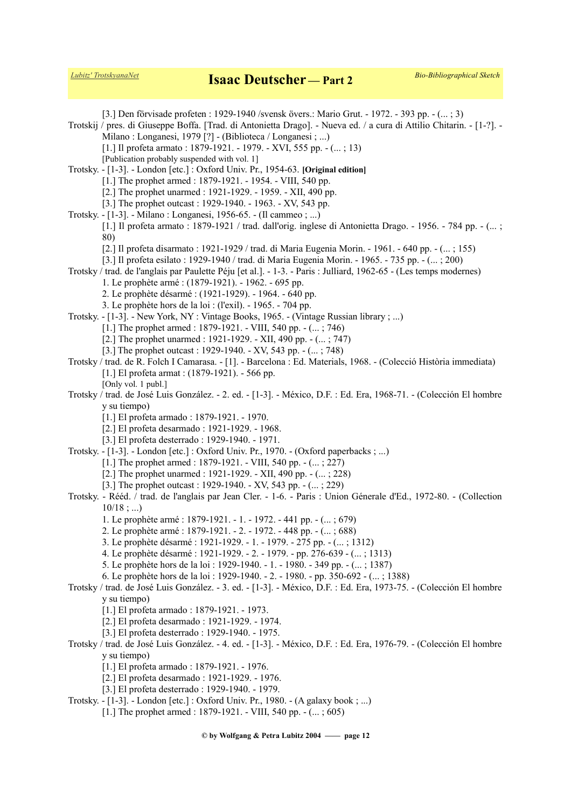[3.] Den förvisade profeten : 1929-1940 /svensk övers.: Mario Grut. - 1972. - 393 pp. - (... ; 3) Trotskij / pres. di Giuseppe Boffa. [Trad. di Antonietta Drago]. - Nueva ed. / a cura di Attilio Chitarin. - [1-?]. - Milano : Longanesi, 1979 [?] - (Biblioteca / Longanesi ; ...) [1.] Il profeta armato : 1879-1921. - 1979. - XVI, 555 pp. - (... ; 13) [Publication probably suspended with vol. 1] Trotsky. - [1-3]. - London [etc.] : Oxford Univ. Pr., 1954-63. **[Original edition]** [1.] The prophet armed : 1879-1921. - 1954. - VIII, 540 pp. [2.] The prophet unarmed : 1921-1929. - 1959. - XII, 490 pp. [3.] The prophet outcast : 1929-1940. - 1963. - XV, 543 pp. Trotsky. - [1-3]. - Milano : Longanesi, 1956-65. - (Il cammeo ; ...) [1.] Il profeta armato : 1879-1921 / trad. dall'orig. inglese di Antonietta Drago. - 1956. - 784 pp. - (... ; 80) [2.] Il profeta disarmato : 1921-1929 / trad. di Maria Eugenia Morin. - 1961. - 640 pp. - (... ; 155) [3.] Il profeta esilato : 1929-1940 / trad. di Maria Eugenia Morin. - 1965. - 735 pp. - (... ; 200) Trotsky / trad. de l'anglais par Paulette Péju [et al.]. - 1-3. - Paris : Julliard, 1962-65 - (Les temps modernes) 1. Le prophète armé : (1879-1921). - 1962. - 695 pp. 2. Le prophète désarmé : (1921-1929). - 1964. - 640 pp. 3. Le prophète hors de la loi : (l'exil). - 1965. - 704 pp. Trotsky. - [1-3]. - New York, NY : Vintage Books, 1965. - (Vintage Russian library ; ...) [1.] The prophet armed : 1879-1921. - VIII, 540 pp. - (... ; 746) [2.] The prophet unarmed : 1921-1929. - XII, 490 pp. - (... ; 747) [3.] The prophet outcast : 1929-1940. - XV, 543 pp. - (... ; 748) Trotsky / trad. de R. Folch I Camarasa. - [1]. - Barcelona : Ed. Materials, 1968. - (Colecció Història immediata) [1.] El profeta armat : (1879-1921). - 566 pp. [Only vol. 1 publ.] Trotsky / trad. de José Luis González. - 2. ed. - [1-3]. - México, D.F. : Ed. Era, 1968-71. - (Colección El hombre y su tiempo) [1.] El profeta armado : 1879-1921. - 1970. [2.] El profeta desarmado : 1921-1929. - 1968. [3.] El profeta desterrado : 1929-1940. - 1971. Trotsky. - [1-3]. - London [etc.] : Oxford Univ. Pr., 1970. - (Oxford paperbacks ; ...) [1.] The prophet armed : 1879-1921. - VIII, 540 pp. - (... ; 227) [2.] The prophet unarmed : 1921-1929. - XII, 490 pp. - (... ; 228) [3.] The prophet outcast : 1929-1940. - XV, 543 pp.  $-$  (... ; 229) Trotsky. - Rééd. / trad. de l'anglais par Jean Cler. - 1-6. - Paris : Union Génerale d'Ed., 1972-80. - (Collection  $10/18$ ; ... 1. Le prophète armé : 1879-1921. - 1. - 1972. - 441 pp. - (... ; 679) 2. Le prophète armé : 1879-1921. - 2. - 1972. - 448 pp. - (... ; 688) 3. Le prophète désarmé : 1921-1929. - 1. - 1979. - 275 pp. - (... ; 1312) 4. Le prophète désarmé : 1921-1929. - 2. - 1979. - pp. 276-639 - (... ; 1313) 5. Le prophète hors de la loi : 1929-1940. - 1. - 1980. - 349 pp. - (... ; 1387) 6. Le prophète hors de la loi : 1929-1940. - 2. - 1980. - pp. 350-692 - (... ; 1388) Trotsky / trad. de José Luis González. - 3. ed. - [1-3]. - México, D.F. : Ed. Era, 1973-75. - (Colección El hombre y su tiempo) [1.] El profeta armado : 1879-1921. - 1973. [2.] El profeta desarmado : 1921-1929. - 1974. [3.] El profeta desterrado : 1929-1940. - 1975. Trotsky / trad. de José Luis González. - 4. ed. - [1-3]. - México, D.F. : Ed. Era, 1976-79. - (Colección El hombre y su tiempo) [1.] El profeta armado : 1879-1921. - 1976. [2.] El profeta desarmado : 1921-1929. - 1976. [3.] El profeta desterrado : 1929-1940. - 1979. Trotsky. - [1-3]. - London [etc.] : Oxford Univ. Pr., 1980. - (A galaxy book ; ...) [1.] The prophet armed : 1879-1921. - VIII, 540 pp. - (... ; 605)

**© by Wolfgang & Petra Lubitz 2004 —— page 12**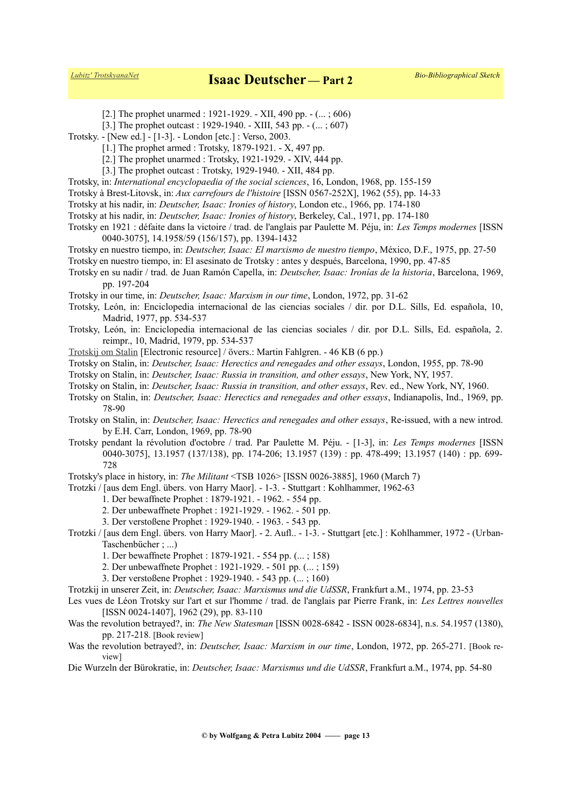[2.] The prophet unarmed : 1921-1929. - XII, 490 pp.  $-$  (... ; 606)

- [3.] The prophet outcast : 1929-1940. XIII, 543 pp.  $-$  (... ; 607)
- Trotsky. [New ed.] [1-3]. London [etc.] : Verso, 2003.
	- [1.] The prophet armed : Trotsky, 1879-1921. X, 497 pp.
	- [2.] The prophet unarmed : Trotsky, 1921-1929. XIV, 444 pp.
	- [3.] The prophet outcast : Trotsky, 1929-1940. XII, 484 pp.
- Trotsky, in: *International encyclopaedia of the social sciences*, 16, London, 1968, pp. 155-159
- Trotsky à Brest-Litovsk, in: *Aux carrefours de l'histoire* [ISSN 0567-252X], 1962 (55), pp. 14-33
- Trotsky at his nadir, in: *Deutscher, Isaac: Ironies of history*, London etc., 1966, pp. 174-180
- Trotsky at his nadir, in: *Deutscher, Isaac: Ironies of history*, Berkeley, Cal., 1971, pp. 174-180
- Trotsky en 1921 : défaite dans la victoire / trad. de l'anglais par Paulette M. Péju, in: *Les Temps modernes* [ISSN 0040-3075], 14.1958/59 (156/157), pp. 1394-1432
- Trotsky en nuestro tiempo, in: *Deutscher, Isaac: El marxismo de nuestro tiempo*, México, D.F., 1975, pp. 27-50
- Trotsky en nuestro tiempo, in: El asesinato de Trotsky : antes y después, Barcelona, 1990, pp. 47-85
- Trotsky en su nadir / trad. de Juan Ramón Capella, in: *Deutscher, Isaac: Ironías de la historia*, Barcelona, 1969, pp. 197-204
- Trotsky in our time, in: *Deutscher, Isaac: Marxism in our time*, London, 1972, pp. 31-62
- Trotsky, León, in: Enciclopedia internacional de las ciencias sociales / dir. por D.L. Sills, Ed. española, 10, Madrid, 1977, pp. 534-537
- Trotsky, León, in: Enciclopedia internacional de las ciencias sociales / dir. por D.L. Sills, Ed. española, 2. reimpr., 10, Madrid, 1979, pp. 534-537
- [Trotskij om Stalin](http://www.marxistarkiv.se/klassiker/deutscher/trotskij_om_stalin.pdf) [Electronic resource] / övers.: Martin Fahlgren. 46 KB (6 pp.)
- Trotsky on Stalin, in: *Deutscher, Isaac: Herectics and renegades and other essays*, London, 1955, pp. 78-90

Trotsky on Stalin, in: *Deutscher, Isaac: Russia in transition, and other essays*, New York, NY, 1957.

- Trotsky on Stalin, in: *Deutscher, Isaac: Russia in transition, and other essays*, Rev. ed., New York, NY, 1960.
- Trotsky on Stalin, in: *Deutscher, Isaac: Herectics and renegades and other essays*, Indianapolis, Ind., 1969, pp. 78-90
- Trotsky on Stalin, in: *Deutscher, Isaac: Herectics and renegades and other essays*, Re-issued, with a new introd. by E.H. Carr, London, 1969, pp. 78-90
- Trotsky pendant la révolution d'octobre / trad. Par Paulette M. Péju. [1-3], in: *Les Temps modernes* [ISSN 0040-3075], 13.1957 (137/138), pp. 174-206; 13.1957 (139) : pp. 478-499; 13.1957 (140) : pp. 699- 728

Trotsky's place in history, in: *The Militant* <TSB 1026> [ISSN 0026-3885], 1960 (March 7)

Trotzki / [aus dem Engl. übers. von Harry Maor]. - 1-3. - Stuttgart : Kohlhammer, 1962-63

- 1. Der bewaffnete Prophet : 1879-1921. 1962. 554 pp.
- 2. Der unbewaffnete Prophet : 1921-1929. 1962. 501 pp.
- 3. Der verstoßene Prophet : 1929-1940. 1963. 543 pp.
- Trotzki / [aus dem Engl. übers. von Harry Maor]. 2. Aufl.. 1-3. Stuttgart [etc.] : Kohlhammer, 1972 (Urban-Taschenbücher ; ...)
	- 1. Der bewaffnete Prophet : 1879-1921. 554 pp. (... ; 158)
	- 2. Der unbewaffnete Prophet : 1921-1929. 501 pp. (... ; 159)
	- 3. Der verstoßene Prophet : 1929-1940. 543 pp. (... ; 160)
- Trotzkij in unserer Zeit, in: *Deutscher, Isaac: Marxismus und die UdSSR*, Frankfurt a.M., 1974, pp. 23-53
- Les vues de Léon Trotsky sur l'art et sur l'homme / trad. de l'anglais par Pierre Frank, in: *Les Lettres nouvelles* [ISSN 0024-1407], 1962 (29), pp. 83-110
- Was the revolution betrayed?, in: *The New Statesman* [ISSN 0028-6842 ISSN 0028-6834], n.s. 54.1957 (1380), pp. 217-218. [Book review]
- Was the revolution betrayed?, in: *Deutscher, Isaac: Marxism in our time*, London, 1972, pp. 265-271. [Book review]

Die Wurzeln der Bürokratie, in: *Deutscher, Isaac: Marxismus und die UdSSR*, Frankfurt a.M., 1974, pp. 54-80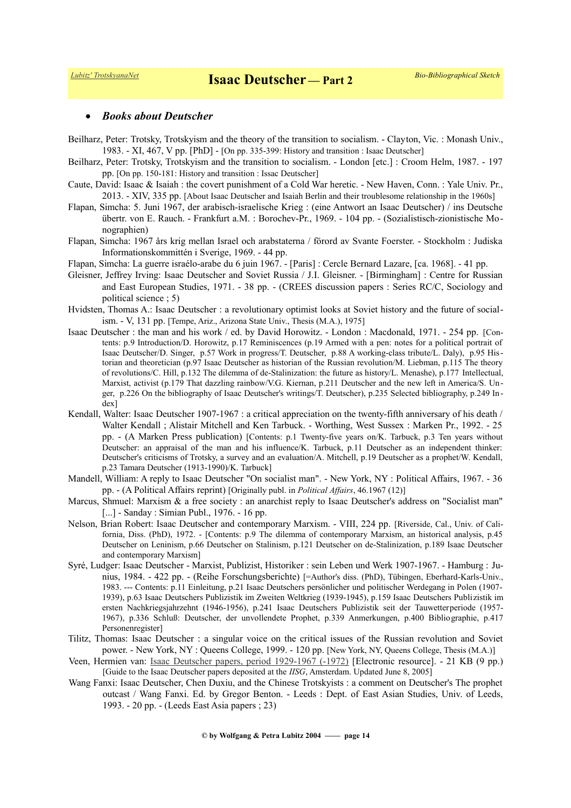#### *Books about Deutscher*

- Beilharz, Peter: Trotsky, Trotskyism and the theory of the transition to socialism. Clayton, Vic. : Monash Univ., 1983. - XI, 467, V pp. [PhD] - [On pp. 335-399: History and transition : Isaac Deutscher]
- Beilharz, Peter: Trotsky, Trotskyism and the transition to socialism. London [etc.] : Croom Helm, 1987. 197 pp. [On pp. 150-181: History and transition : Issac Deutscher]
- Caute, David: Isaac & Isaiah : the covert punishment of a Cold War heretic. New Haven, Conn. : Yale Univ. Pr., 2013. - XIV, 335 pp. [About Isaac Deutscher and Isaiah Berlin and their troublesome relationship in the 1960s]
- Flapan, Simcha: 5. Juni 1967, der arabisch-israelische Krieg : (eine Antwort an Isaac Deutscher) / ins Deutsche übertr. von E. Rauch. - Frankfurt a.M. : Borochev-Pr., 1969. - 104 pp. - (Sozialistisch-zionistische Monographien)
- Flapan, Simcha: 1967 års krig mellan Israel och arabstaterna / förord av Svante Foerster. Stockholm : Judiska Informationskommittén i Sverige, 1969. - 44 pp.
- Flapan, Simcha: La guerre israélo-arabe du 6 juin 1967. [Paris] : Cercle Bernard Lazare, [ca. 1968]. 41 pp.
- Gleisner, Jeffrey Irving: Isaac Deutscher and Soviet Russia / J.I. Gleisner. [Birmingham] : Centre for Russian and East European Studies, 1971. - 38 pp. - (CREES discussion papers : Series RC/C, Sociology and political science ; 5)
- Hvidsten, Thomas A.: Isaac Deutscher : a revolutionary optimist looks at Soviet history and the future of socialism. - V, 131 pp. [Tempe, Ariz., Arizona State Univ., Thesis (M.A.), 1975]
- Isaac Deutscher : the man and his work / ed. by David Horowitz. London : Macdonald, 1971. 254 pp. [Contents: p.9 Introduction/D. Horowitz, p.17 Reminiscences (p.19 Armed with a pen: notes for a political portrait of Isaac Deutscher/D. Singer, p.57 Work in progress/T. Deutscher, p.88 A working-class tribute/L. Daly), p.95 Historian and theoretician (p.97 Isaac Deutscher as historian of the Russian revolution/M. Liebman, p.115 The theory of revolutions/C. Hill, p.132 The dilemma of de-Stalinization: the future as history/L. Menashe), p.177 Intellectual, Marxist, activist (p.179 That dazzling rainbow/V.G. Kiernan, p.211 Deutscher and the new left in America/S. Unger, p.226 On the bibliography of Isaac Deutscher's writings/T. Deutscher), p.235 Selected bibliography, p.249 In dex]
- Kendall, Walter: Isaac Deutscher 1907-1967 : a critical appreciation on the twenty-fifth anniversary of his death / Walter Kendall ; Alistair Mitchell and Ken Tarbuck. - Worthing, West Sussex : Marken Pr., 1992. - 25 pp. - (A Marken Press publication) [Contents: p.1 Twenty-five years on/K. Tarbuck, p.3 Ten years without Deutscher: an appraisal of the man and his influence/K. Tarbuck, p.11 Deutscher as an independent thinker: Deutscher's criticisms of Trotsky, a survey and an evaluation/A. Mitchell, p.19 Deutscher as a prophet/W. Kendall, p.23 Tamara Deutscher (1913-1990)/K. Tarbuck]
- Mandell, William: A reply to Isaac Deutscher "On socialist man". New York, NY : Political Affairs, 1967. 36 pp. - (A Political Affairs reprint) [Originally publ. in *Political Affairs*, 46.1967 (12)]
- Marcus, Shmuel: Marxism & a free society : an anarchist reply to Isaac Deutscher's address on "Socialist man" [...] - Sanday : Simian Publ., 1976. - 16 pp.
- Nelson, Brian Robert: Isaac Deutscher and contemporary Marxism. VIII, 224 pp. [Riverside, Cal., Univ. of California, Diss. (PhD), 1972. - [Contents: p.9 The dilemma of contemporary Marxism, an historical analysis, p.45 Deutscher on Leninism, p.66 Deutscher on Stalinism, p.121 Deutscher on de-Stalinization, p.189 Isaac Deutscher and contemporary Marxism]
- Syré, Ludger: Isaac Deutscher Marxist, Publizist, Historiker : sein Leben und Werk 1907-1967. Hamburg : Junius, 1984. - 422 pp. - (Reihe Forschungsberichte) [=Author's diss. (PhD), Tübingen, Eberhard-Karls-Univ., 1983. --- Contents: p.11 Einleitung, p.21 Isaac Deutschers persönlicher und politischer Werdegang in Polen (1907- 1939), p.63 Isaac Deutschers Publizistik im Zweiten Weltkrieg (1939-1945), p.159 Isaac Deutschers Publizistik im ersten Nachkriegsjahrzehnt (1946-1956), p.241 Isaac Deutschers Publizistik seit der Tauwetterperiode (1957- 1967), p.336 Schluß: Deutscher, der unvollendete Prophet, p.339 Anmerkungen, p.400 Bibliographie, p.417 Personenregister]
- Tilitz, Thomas: Isaac Deutscher : a singular voice on the critical issues of the Russian revolution and Soviet power. - New York, NY : Queens College, 1999. - 120 pp. [New York, NY, Queens College, Thesis (M.A.)]
- Veen, Hermien van: *Isaac Deutscher papers, period 1929-1967 (-1972)* [Electronic resource]. 21 KB (9 pp.) [Guide to the Isaac Deutscher papers deposited at the *IISG*, Amsterdam. Updated June 8, 2005]
- Wang Fanxi: Isaac Deutscher, Chen Duxiu, and the Chinese Trotskyists : a comment on Deutscher's The prophet outcast / Wang Fanxi. Ed. by Gregor Benton. - Leeds : Dept. of East Asian Studies, Univ. of Leeds, 1993. - 20 pp. - (Leeds East Asia papers ; 23)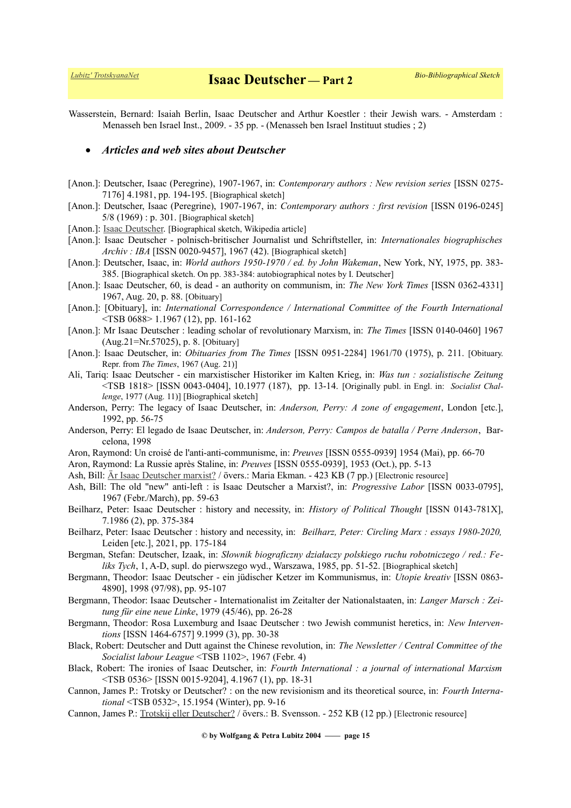Wasserstein, Bernard: Isaiah Berlin, Isaac Deutscher and Arthur Koestler : their Jewish wars. - Amsterdam : Menasseh ben Israel Inst., 2009. - 35 pp. - (Menasseh ben Israel Instituut studies ; 2)

#### *Articles and web sites about Deutscher*

- [Anon.]: Deutscher, Isaac (Peregrine), 1907-1967, in: *Contemporary authors : New revision series* [ISSN 0275- 7176] 4.1981, pp. 194-195. [Biographical sketch]
- [Anon.]: Deutscher, Isaac (Peregrine), 1907-1967, in: *Contemporary authors : first revision* [ISSN 0196-0245] 5/8 (1969) : p. 301. [Biographical sketch]
- [Anon.]: [Isaac Deutscher.](https://en.wikipedia.org/wiki/Isaac_Deutscher) [Biographical sketch, Wikipedia article]
- [Anon.]: Isaac Deutscher polnisch-britischer Journalist und Schriftsteller, in: *Internationales biographisches Archiv : IBA* [ISSN 0020-9457], 1967 (42). [Biographical sketch]
- [Anon.]: Deutscher, Isaac, in: *World authors 1950-1970 / ed. by John Wakeman*, New York, NY, 1975, pp. 383- 385. [Biographical sketch. On pp. 383-384: autobiographical notes by I. Deutscher]
- [Anon.]: Isaac Deutscher, 60, is dead an authority on communism, in: *The New York Times* [ISSN 0362-4331] 1967, Aug. 20, p. 88. [Obituary]
- [Anon.]: [Obituary], in: *International Correspondence / International Committee of the Fourth International* <TSB 0688> 1.1967 (12), pp. 161-162
- [Anon.]: Mr Isaac Deutscher : leading scholar of revolutionary Marxism, in: *The Times* [ISSN 0140-0460] 1967 (Aug.21=Nr.57025), p. 8. [Obituary]
- [Anon.]: Isaac Deutscher, in: *Obituaries from The Times* [ISSN 0951-2284] 1961/70 (1975), p. 211. [Obituary. Repr. from *The Times*, 1967 (Aug. 21)]
- Ali, Tariq: Isaac Deutscher ein marxistischer Historiker im Kalten Krieg, in: *Was tun : sozialistische Zeitung* <TSB 1818> [ISSN 0043-0404], 10.1977 (187), pp. 13-14. [Originally publ. in Engl. in: *Socialist Challenge*, 1977 (Aug. 11)] [Biographical sketch]
- Anderson, Perry: The legacy of Isaac Deutscher, in: *Anderson, Perry: A zone of engagement*, London [etc.], 1992, pp. 56-75
- Anderson, Perry: El legado de Isaac Deutscher, in: *Anderson, Perry: Campos de batalla / Perre Anderson*, Barcelona, 1998
- Aron, Raymond: Un croisé de l'anti-anti-communisme, in: *Preuves* [ISSN 0555-0939] 1954 (Mai), pp. 66-70
- Aron, Raymond: La Russie après Staline, in: *Preuves* [ISSN 0555-0939], 1953 (Oct.), pp. 5-13
- Ash, Bill: [Är Isaac Deutscher marxist?](http://www.marxistarkiv.se/klassiker/deutscher/om_deutscher/ash-ar_deutscher_marxist.pdf) / övers.: Maria Ekman. 423 KB (7 pp.) [Electronic resource]
- Ash, Bill: The old "new" anti-left : is Isaac Deutscher a Marxist?, in: *Progressive Labor* [ISSN 0033-0795], 1967 (Febr./March), pp. 59-63
- Beilharz, Peter: Isaac Deutscher : history and necessity, in: *History of Political Thought* [ISSN 0143-781X], 7.1986 (2), pp. 375-384
- Beilharz, Peter: Isaac Deutscher : history and necessity, in: *Beilharz, Peter: Circling Marx : essays 1980-2020,* Leiden [etc.], 2021, pp. 175-184
- Bergman, Stefan: Deutscher, Izaak, in: *Słownik biograficzny działaczy polskiego ruchu robotniczego / red.: Feliks Tych*, 1, A-D, supl. do pierwszego wyd., Warszawa, 1985, pp. 51-52. [Biographical sketch]
- Bergmann, Theodor: Isaac Deutscher ein jüdischer Ketzer im Kommunismus, in: *Utopie kreativ* [ISSN 0863- 4890], 1998 (97/98), pp. 95-107
- Bergmann, Theodor: Isaac Deutscher Internationalist im Zeitalter der Nationalstaaten, in: *Langer Marsch : Zeitung für eine neue Linke*, 1979 (45/46), pp. 26-28
- Bergmann, Theodor: Rosa Luxemburg and Isaac Deutscher : two Jewish communist heretics, in: *New Interventions* [ISSN 1464-6757] 9.1999 (3), pp. 30-38
- Black, Robert: Deutscher and Dutt against the Chinese revolution, in: *The Newsletter / Central Committee of the Socialist labour League* <TSB 1102>, 1967 (Febr. 4)
- Black, Robert: The ironies of Isaac Deutscher, in: *Fourth International : a journal of international Marxism* <TSB 0536> [ISSN 0015-9204], 4.1967 (1), pp. 18-31
- Cannon, James P.: Trotsky or Deutscher? : on the new revisionism and its theoretical source, in: *Fourth International* <TSB 0532>, 15.1954 (Winter), pp. 9-16
- Cannon, James P.: [Trotskij eller Deutscher?](http://www.marxistarkiv.se/klassiker/cannon/trotskij_eller_deutscher.pdf) / övers.: B. Svensson. 252 KB (12 pp.) [Electronic resource]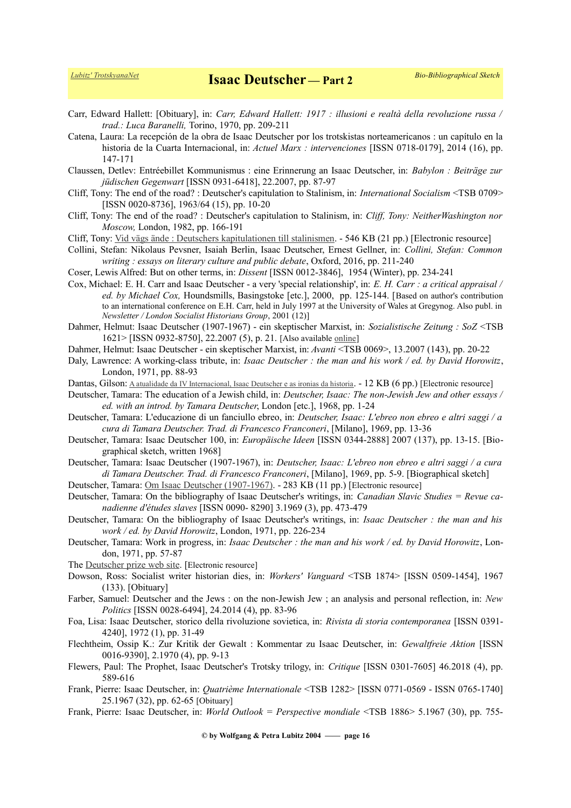- Carr, Edward Hallett: [Obituary], in: *Carr, Edward Hallett: 1917 : illusioni e realtà della revoluzione russa / trad.: Luca Baranelli,* Torino, 1970, pp. 209-211
- Catena, Laura: La recepción de la obra de Isaac Deutscher por los trotskistas norteamericanos : un capítulo en la historia de la Cuarta Internacional, in: *Actuel Marx : intervenciones* [ISSN 0718-0179], 2014 (16), pp. 147-171
- Claussen, Detlev: Entréebillet Kommunismus : eine Erinnerung an Isaac Deutscher, in: *Babylon : Beiträge zur jüdischen Gegenwart* [ISSN 0931-6418], 22.2007, pp. 87-97
- Cliff, Tony: The end of the road? : Deutscher's capitulation to Stalinism, in: *International Socialism* <TSB 0709> [ISSN 0020-8736], 1963/64 (15), pp. 10-20
- Cliff, Tony: The end of the road? : Deutscher's capitulation to Stalinism, in: *Cliff, Tony: NeitherWashington nor Moscow,* London, 1982, pp. 166-191
- Cliff, Tony: [Vid vägs ände : Deutschers kapitulationen till stalinismen.](http://www.marxistarkiv.se/klassiker/cliff/deutscher_vid_vags_ande.pdf) 546 KB (21 pp.) [Electronic resource]
- Collini, Stefan: Nikolaus Pevsner, Isaiah Berlin, Isaac Deutscher, Ernest Gellner, in: *Collini, Stefan: Common writing : essays on literary culture and public debate*, Oxford, 2016, pp. 211-240
- Coser, Lewis Alfred: But on other terms, in: *Dissent* [ISSN 0012-3846], 1954 (Winter), pp. 234-241
- Cox, Michael: E. H. Carr and Isaac Deutscher a very 'special relationship', in: *E. H. Carr : a critical appraisal / ed. by Michael Cox,* Houndsmills, Basingstoke [etc.], 2000, pp. 125-144. [Based on author's contribution to an international conference on E.H. Carr, held in July 1997 at the University of Wales at Gregynog. Also publ. in *Newsletter / London Socialist Historians Group*, 2001 (12)]
- Dahmer, Helmut: Isaac Deutscher (1907-1967) ein skeptischer Marxist, in: *Sozialistische Zeitung : SoZ* <TSB 1621> [ISSN 0932-8750], 22.2007 (5), p. 21. [Also available [online\]](http://dielinke.at/artikel/hintergrund/isaac-deutscher-2013-ein-skeptischer-trotzkist/)
- Dahmer, Helmut: Isaac Deutscher ein skeptischer Marxist, in: *Avanti* <TSB 0069>, 13.2007 (143), pp. 20-22
- Daly, Lawrence: A working-class tribute, in: *Isaac Deutscher : the man and his work / ed. by David Horowitz*, London, 1971, pp. 88-93
- Dantas, Gilson: [A atualidade da IV Internacional, Isaac Deutscher e as ironias da historia](https://www.esquerdadiario.com.br/A-atualidade-da-IV-Internacional-Isaac-Deutscher-e-as-ironias-da-historia). 12 KB (6 pp.) [Electronic resource]
- Deutscher, Tamara: The education of a Jewish child, in: *Deutscher, Isaac: The non-Jewish Jew and other essays / ed. with an introd. by Tamara Deutscher*, London [etc.], 1968, pp. 1-24
- Deutscher, Tamara: L'educazione di un fanciullo ebreo, in: *Deutscher, Isaac: L'ebreo non ebreo e altri saggi / a cura di Tamara Deutscher. Trad. di Francesco Franconeri*, [Milano], 1969, pp. 13-36
- Deutscher, Tamara: Isaac Deutscher 100, in: *Europäische Ideen* [ISSN 0344-2888] 2007 (137), pp. 13-15. [Biographical sketch, written 1968]
- Deutscher, Tamara: Isaac Deutscher (1907-1967), in: *Deutscher, Isaac: L'ebreo non ebreo e altri saggi / a cura di Tamara Deutscher. Trad. di Francesco Franconeri*, [Milano], 1969, pp. 5-9. [Biographical sketch]

Deutscher, Tamara: [Om Isaac Deutscher \(1907-1967\).](http://www.marxistarkiv.se/klassiker/deutscher/om_deutscher/td-om_deutscher.pdf) - 283 KB (11 pp.) [Electronic resource]

- Deutscher, Tamara: On the bibliography of Isaac Deutscher's writings, in: *Canadian Slavic Studies = Revue canadienne d'études slaves* [ISSN 0090- 8290] 3.1969 (3), pp. 473-479
- Deutscher, Tamara: On the bibliography of Isaac Deutscher's writings, in: *Isaac Deutscher : the man and his work / ed. by David Horowitz*, London, 1971, pp. 226-234
- Deutscher, Tamara: Work in progress, in: *Isaac Deutscher : the man and his work / ed. by David Horowitz*, London, 1971, pp. 57-87
- The [Deutscher prize web site.](http://www.deutscherprize.org.uk/wp/) [Electronic resource]
- Dowson, Ross: Socialist writer historian dies, in: *Workers' Vanguard* <TSB 1874> [ISSN 0509-1454], 1967 (133). [Obituary]
- Farber, Samuel: Deutscher and the Jews : on the non-Jewish Jew ; an analysis and personal reflection, in: *New Politics* [ISSN 0028-6494], 24.2014 (4), pp. 83-96
- Foa, Lisa: Isaac Deutscher, storico della rivoluzione sovietica, in: *Rivista di storia contemporanea* [ISSN 0391- 4240], 1972 (1), pp. 31-49
- Flechtheim, Ossip K.: Zur Kritik der Gewalt : Kommentar zu Isaac Deutscher, in: *Gewaltfreie Aktion* [ISSN 0016-9390], 2.1970 (4), pp. 9-13
- Flewers, Paul: The Prophet, Isaac Deutscher's Trotsky trilogy, in: *Critique* [ISSN 0301-7605] 46.2018 (4), pp. 589-616
- Frank, Pierre: Isaac Deutscher, in: *Quatrième Internationale* <TSB 1282> [ISSN 0771-0569 ISSN 0765-1740] 25.1967 (32), pp. 62-65 [Obituary]
- Frank, Pierre: Isaac Deutscher, in: *World Outlook = Perspective mondiale* <TSB 1886> 5.1967 (30), pp. 755-

**© by Wolfgang & Petra Lubitz 2004 —— page 16**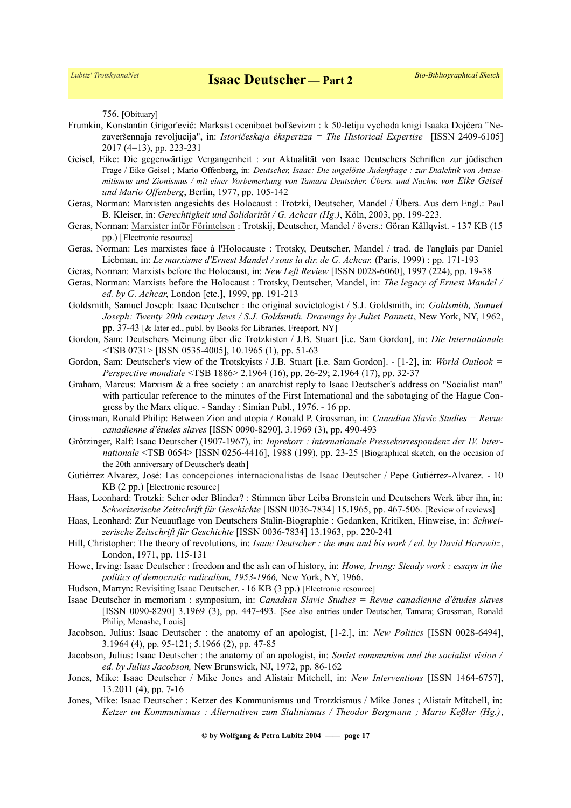756. [Obituary]

- Frumkin, Konstantin Grigor'evič: Marksist ocenibaet bol'ševizm : k 50-letiju vychoda knigi Isaaka Dojčera "Nezaveršennaja revoljucija", in: *Istoričeskaja ėkspertiza = The Historical Expertise* [ISSN 2409-6105] 2017 (4=13), pp. 223-231
- Geisel, Eike: Die gegenwärtige Vergangenheit : zur Aktualität von Isaac Deutschers Schriften zur jüdischen Frage / Eike Geisel ; Mario Offenberg, in: *Deutscher, Isaac: Die ungelöste Judenfrage : zur Dialektik von Antisemitismus und Zionismus / mit einer Vorbemerkung von Tamara Deutscher. Übers. und Nachw. von Eike Geisel und Mario Offenberg*, Berlin, 1977, pp. 105-142
- Geras, Norman: Marxisten angesichts des Holocaust : Trotzki, Deutscher, Mandel / Übers. Aus dem Engl.: Paul B. Kleiser, in: *Gerechtigkeit und Solidarität / G. Achcar (Hg.)*, Köln, 2003, pp. 199-223.
- Geras, Norman: [Marxister inför Förintelsen](http://www.marxistarkiv.se/klassiker/mandel/om_mandel/marxister_infor_forintelsen.pdf) : Trotskij, Deutscher, Mandel / övers.: Göran Källqvist. 137 KB (15 pp.) [Electronic resource]
- Geras, Norman: Les marxistes face à l'Holocauste : Trotsky, Deutscher, Mandel / trad. de l'anglais par Daniel Liebman, in: *Le marxisme d'Ernest Mandel / sous la dir. de G. Achcar.* (Paris, 1999) : pp. 171-193
- Geras, Norman: Marxists before the Holocaust, in: *New Left Review* [ISSN 0028-6060], 1997 (224), pp. 19-38
- Geras, Norman: Marxists before the Holocaust : Trotsky, Deutscher, Mandel, in: *The legacy of Ernest Mandel / ed. by G. Achcar*, London [etc.], 1999, pp. 191-213
- Goldsmith, Samuel Joseph: Isaac Deutscher : the original sovietologist / S.J. Goldsmith, in: *Goldsmith, Samuel Joseph: Twenty 20th century Jews / S.J. Goldsmith. Drawings by Juliet Pannett, New York, NY, 1962,* pp. 37-43 [& later ed., publ. by Books for Libraries, Freeport, NY]
- Gordon, Sam: Deutschers Meinung über die Trotzkisten / J.B. Stuart [i.e. Sam Gordon], in: *Die Internationale* <TSB 0731> [ISSN 0535-4005], 10.1965 (1), pp. 51-63
- Gordon, Sam: Deutscher's view of the Trotskyists / J.B. Stuart [i.e. Sam Gordon]. [1-2], in: *World Outlook = Perspective mondiale* <TSB 1886> 2.1964 (16), pp. 26-29; 2.1964 (17), pp. 32-37
- Graham, Marcus: Marxism & a free society : an anarchist reply to Isaac Deutscher's address on "Socialist man" with particular reference to the minutes of the First International and the sabotaging of the Hague Congress by the Marx clique. - Sanday : Simian Publ., 1976. - 16 pp.
- Grossman, Ronald Philip: Between Zion and utopia / Ronald P. Grossman, in: *Canadian Slavic Studies = Revue canadienne d'études slaves* [ISSN 0090-8290], 3.1969 (3), pp. 490-493
- Grötzinger, Ralf: Isaac Deutscher (1907-1967), in: *Inprekorr : internationale Pressekorrespondenz der IV. Internationale* <TSB 0654> [ISSN 0256-4416], 1988 (199), pp. 23-25 [Biographical sketch, on the occasion of the 20th anniversary of Deutscher's death]
- Gutiérrez Alvarez, José[: Las concepciones internacionalistas de Isaac Deutscher](https://kaosenlared.net/historias-de-la-cuarta-3-las-concepciones-internacionalistas-de-isaac-deutscher/) / Pepe Gutiérrez-Alvarez. 10 KB (2 pp.) [Electronic resource]
- Haas, Leonhard: Trotzki: Seher oder Blinder? : Stimmen über Leiba Bronstein und Deutschers Werk über ihn, in: *Schweizerische Zeitschrift für Geschichte* [ISSN 0036-7834] 15.1965, pp. 467-506. [Review of reviews]
- Haas, Leonhard: Zur Neuauflage von Deutschers Stalin-Biographie : Gedanken, Kritiken, Hinweise, in: *Schweizerische Zeitschrift für Geschichte* [ISSN 0036-7834] 13.1963, pp. 220-241
- Hill, Christopher: The theory of revolutions, in: *Isaac Deutscher : the man and his work / ed. by David Horowitz*, London, 1971, pp. 115-131
- Howe, Irving: Isaac Deutscher : freedom and the ash can of history, in: *Howe, Irving: Steady work : essays in the politics of democratic radicalism, 1953-1966,* New York, NY, 1966.
- Hudson, Martyn: [Revisiting Isaac Deutscher.](http://fathomjournal.org/revisiting-isaac-deutscher/) 16 KB (3 pp.) [Electronic resource]
- Isaac Deutscher in memoriam : symposium, in: *Canadian Slavic Studies = Revue canadienne d'études slaves* [ISSN 0090-8290] 3.1969 (3), pp. 447-493. [See also entries under Deutscher, Tamara; Grossman, Ronald Philip; Menashe, Louis]
- Jacobson, Julius: Isaac Deutscher : the anatomy of an apologist, [1-2.], in: *New Politics* [ISSN 0028-6494], 3.1964 (4), pp. 95-121; 5.1966 (2), pp. 47-85
- Jacobson, Julius: Isaac Deutscher : the anatomy of an apologist, in: *Soviet communism and the socialist vision / ed. by Julius Jacobson,* New Brunswick, NJ, 1972, pp. 86-162
- Jones, Mike: Isaac Deutscher / Mike Jones and Alistair Mitchell, in: *New Interventions* [ISSN 1464-6757], 13.2011 (4), pp. 7-16
- Jones, Mike: Isaac Deutscher : Ketzer des Kommunismus und Trotzkismus / Mike Jones ; Alistair Mitchell, in: *Ketzer im Kommunismus : Alternativen zum Stalinismus / Theodor Bergmann ; Mario Keßler (Hg.)*,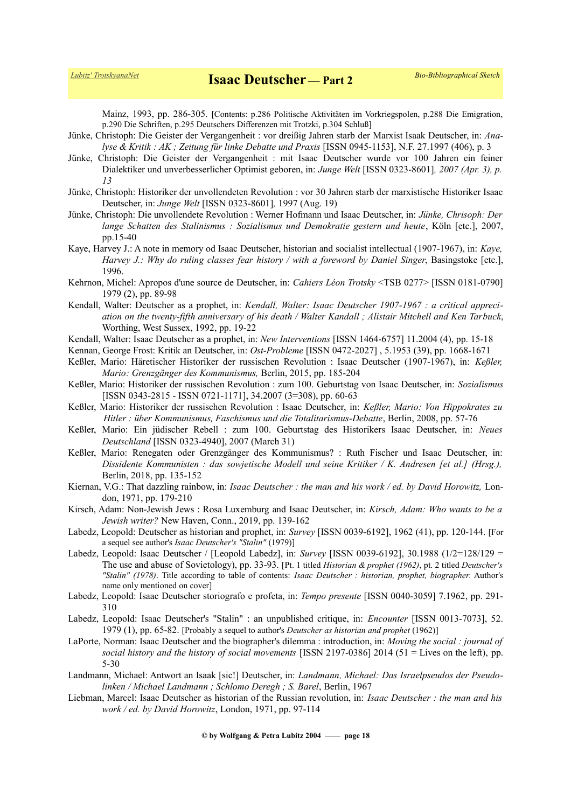Mainz, 1993, pp. 286-305. [Contents: p.286 Politische Aktivitäten im Vorkriegspolen, p.288 Die Emigration, p.290 Die Schriften, p.295 Deutschers Differenzen mit Trotzki, p.304 Schluß]

- Jünke, Christoph: Die Geister der Vergangenheit : vor dreißig Jahren starb der Marxist Isaak Deutscher, in: *Analyse & Kritik : AK ; Zeitung für linke Debatte und Praxis* [ISSN 0945-1153], N.F. 27.1997 (406), p. 3
- Jünke, Christoph: Die Geister der Vergangenheit : mit Isaac Deutscher wurde vor 100 Jahren ein feiner Dialektiker und unverbesserlicher Optimist geboren, in: *Junge Welt* [ISSN 0323-8601]*, 2007 (Apr. 3), p. 13*
- Jünke, Christoph: Historiker der unvollendeten Revolution : vor 30 Jahren starb der marxistische Historiker Isaac Deutscher, in: *Junge Welt* [ISSN 0323-8601]*,* 1997 (Aug. 19)
- Jünke, Christoph: Die unvollendete Revolution : Werner Hofmann und Isaac Deutscher, in: *Jünke, Chrisoph: Der lange Schatten des Stalinismus : Sozialismus und Demokratie gestern und heute*, Köln [etc.], 2007, pp.15-40
- Kaye, Harvey J.: A note in memory od Isaac Deutscher, historian and socialist intellectual (1907-1967), in: *Kaye, Harvey J.: Why do ruling classes fear history / with a foreword by Daniel Singer*, Basingstoke [etc.], 1996.
- Kehrnon, Michel: Apropos d'une source de Deutscher, in: *Cahiers Léon Trotsky* <TSB 0277> [ISSN 0181-0790] 1979 (2), pp. 89-98
- Kendall, Walter: Deutscher as a prophet, in: *Kendall, Walter: Isaac Deutscher 1907-1967 : a critical appreciation on the twenty-fifth anniversary of his death / Walter Kandall ; Alistair Mitchell and Ken Tarbuck*, Worthing, West Sussex, 1992, pp. 19-22
- Kendall, Walter: Isaac Deutscher as a prophet, in: *New Interventions* [ISSN 1464-6757] 11.2004 (4), pp. 15-18
- Kennan, George Frost: Kritik an Deutscher, in: *Ost-Probleme* [ISSN 0472-2027] , 5.1953 (39), pp. 1668-1671
- Keßler, Mario: Häretischer Historiker der russischen Revolution : Isaac Deutscher (1907-1967), in: *Keßler, Mario: Grenzgänger des Kommunismus,* Berlin, 2015, pp. 185-204
- Keßler, Mario: Historiker der russischen Revolution : zum 100. Geburtstag von Isaac Deutscher, in: *Sozialismus* [ISSN 0343-2815 - ISSN 0721-1171], 34.2007 (3=308), pp. 60-63
- Keßler, Mario: Historiker der russischen Revolution : Isaac Deutscher, in: *Keßler, Mario: Von Hippokrates zu Hitler : über Kommunismus, Faschismus und die Totalitarismus-Debatte*, Berlin, 2008, pp. 57-76
- Keßler, Mario: Ein jüdischer Rebell : zum 100. Geburtstag des Historikers Isaac Deutscher, in: *Neues Deutschland* [ISSN 0323-4940], 2007 (March 31)
- Keßler, Mario: Renegaten oder Grenzgänger des Kommunismus? : Ruth Fischer und Isaac Deutscher, in: *Dissidente Kommunisten : das sowjetische Modell und seine Kritiker / K. Andresen [et al.] (Hrsg.),* Berlin, 2018, pp. 135-152
- Kiernan, V.G.: That dazzling rainbow, in: *Isaac Deutscher : the man and his work / ed. by David Horowitz,* London, 1971, pp. 179-210
- Kirsch, Adam: Non-Jewish Jews : Rosa Luxemburg and Isaac Deutscher, in: *Kirsch, Adam: Who wants to be a Jewish writer?* New Haven, Conn., 2019, pp. 139-162
- Labedz, Leopold: Deutscher as historian and prophet, in: *Survey* [ISSN 0039-6192], 1962 (41), pp. 120-144. [For a sequel see author's *Isaac Deutscher's "Stalin"* (1979)]
- Labedz, Leopold: Isaac Deutscher / [Leopold Labedz], in: *Survey* [ISSN 0039-6192], 30.1988 (1/2=128/129 = The use and abuse of Sovietology), pp. 33-93. [Pt. 1 titled *Historian & prophet (1962)*, pt. 2 titled *Deutscher's "Stalin" (1978)*. Title according to table of contents: *Isaac Deutscher : historian, prophet, biographer*. Author's name only mentioned on cover]
- Labedz, Leopold: Isaac Deutscher storiografo e profeta, in: *Tempo presente* [ISSN 0040-3059] 7.1962, pp. 291- 310
- Labedz, Leopold: Isaac Deutscher's "Stalin" : an unpublished critique, in: *Encounter* [ISSN 0013-7073], 52. 1979 (1), pp. 65-82. [Probably a sequel to author's *Deutscher as historian and prophet* (1962)]
- LaPorte, Norman: Isaac Deutscher and the biographer's dilemma : introduction, in: *Moving the social : journal of social history and the history of social movements* [ISSN 2197-0386] 2014 (51 = Lives on the left), pp. 5-30
- Landmann, Michael: Antwort an Isaak [sic!] Deutscher, in: *Landmann, Michael: Das Israelpseudos der Pseudolinken / Michael Landmann ; Schlomo Deregh ; S. Barel*, Berlin, 1967
- Liebman, Marcel: Isaac Deutscher as historian of the Russian revolution, in: *Isaac Deutscher : the man and his work / ed. by David Horowitz*, London, 1971, pp. 97-114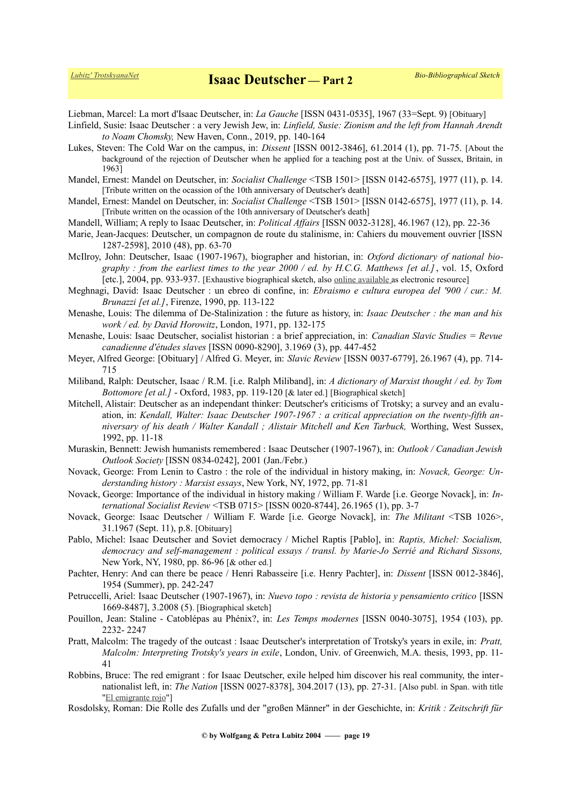Liebman, Marcel: La mort d'Isaac Deutscher, in: *La Gauche* [ISSN 0431-0535], 1967 (33=Sept. 9) [Obituary]

- Linfield, Susie: Isaac Deutscher : a very Jewish Jew, in: *Linfield, Susie: Zionism and the left from Hannah Arendt to Noam Chomsky,* New Haven, Conn., 2019, pp. 140-164
- Lukes, Steven: The Cold War on the campus, in: *Dissent* [ISSN 0012-3846], 61.2014 (1), pp. 71-75. [About the background of the rejection of Deutscher when he applied for a teaching post at the Univ. of Sussex, Britain, in 1963]
- Mandel, Ernest: Mandel on Deutscher, in: *Socialist Challenge* <TSB 1501> [ISSN 0142-6575], 1977 (11), p. 14. [Tribute written on the ocassion of the 10th anniversary of Deutscher's death]
- Mandel, Ernest: Mandel on Deutscher, in: *Socialist Challenge* <TSB 1501> [ISSN 0142-6575], 1977 (11), p. 14. [Tribute written on the ocassion of the 10th anniversary of Deutscher's death]
- Mandell, William; A reply to Isaac Deutscher, in: *Political Affairs* [ISSN 0032-3128], 46.1967 (12), pp. 22-36
- Marie, Jean-Jacques: Deutscher, un compagnon de route du stalinisme, in: Cahiers du mouvement ouvrier [ISSN 1287-2598], 2010 (48), pp. 63-70
- McIlroy, John: Deutscher, Isaac (1907-1967), biographer and historian, in: *Oxford dictionary of national biography : from the earliest times to the year 2000 / ed. by H.C.G. Matthews [et al.]*, vol. 15, Oxford [etc.], 2004, pp. 933-937. [Exhaustive biographical sketch, also [online available](http://www.oxforddnb.com/view/article/55359) as electronic resource]
- Meghnagi, David: Isaac Deutscher : un ebreo di confine, in: *Ebraismo e cultura europea del '900 / cur.: M. Brunazzi [et al.]*, Firenze, 1990, pp. 113-122
- Menashe, Louis: The dilemma of De-Stalinization : the future as history, in: *Isaac Deutscher : the man and his work / ed. by David Horowitz*, London, 1971, pp. 132-175
- Menashe, Louis: Isaac Deutscher, socialist historian : a brief appreciation, in: *Canadian Slavic Studies = Revue canadienne d'études slaves* [ISSN 0090-8290], 3.1969 (3), pp. 447-452
- Meyer, Alfred George: [Obituary] / Alfred G. Meyer, in: *Slavic Review* [ISSN 0037-6779], 26.1967 (4), pp. 714- 715
- Miliband, Ralph: Deutscher, Isaac / R.M. [i.e. Ralph Miliband], in: *A dictionary of Marxist thought / ed. by Tom Bottomore [et al.]* - Oxford, 1983, pp. 119-120 [& later ed.] [Biographical sketch]
- Mitchell, Alistair: Deutscher as an independant thinker: Deutscher's criticisms of Trotsky; a survey and an evaluation, in: *Kendall, Walter: Isaac Deutscher 1907-1967 : a critical appreciation on the twenty-fifth anniversary of his death / Walter Kandall ; Alistair Mitchell and Ken Tarbuck,* Worthing, West Sussex, 1992, pp. 11-18
- Muraskin, Bennett: Jewish humanists remembered : Isaac Deutscher (1907-1967), in: *Outlook / Canadian Jewish Outlook Society* [ISSN 0834-0242], 2001 (Jan./Febr.)
- Novack, George: From Lenin to Castro : the role of the individual in history making, in: *Novack, George: Understanding history : Marxist essays*, New York, NY, 1972, pp. 71-81
- Novack, George: Importance of the individual in history making / William F. Warde [i.e. George Novack], in: *International Socialist Review* <TSB 0715> [ISSN 0020-8744], 26.1965 (1), pp. 3-7
- Novack, George: Isaac Deutscher / William F. Warde [i.e. George Novack], in: *The Militant* <TSB 1026>, 31.1967 (Sept. 11), p.8. [Obituary]
- Pablo, Michel: Isaac Deutscher and Soviet democracy / Michel Raptis [Pablo], in: *Raptis, Michel: Socialism, democracy and self-management : political essays / transl. by Marie-Jo Serrié and Richard Sissons,* New York, NY, 1980, pp. 86-96 [& other ed.]
- Pachter, Henry: And can there be peace / Henri Rabasseire [i.e. Henry Pachter], in: *Dissent* [ISSN 0012-3846], 1954 (Summer), pp. 242-247
- Petruccelli, Ariel: Isaac Deutscher (1907-1967), in: *Nuevo topo : revista de historia y pensamiento critico* [ISSN 1669-8487], 3.2008 (5). [Biographical sketch]
- Pouillon, Jean: Staline Catoblépas au Phénix?, in: *Les Temps modernes* [ISSN 0040-3075], 1954 (103), pp. 2232- 2247
- Pratt, Malcolm: The tragedy of the outcast : Isaac Deutscher's interpretation of Trotsky's years in exile, in: *Pratt, Malcolm: Interpreting Trotsky's years in exile*, London, Univ. of Greenwich, M.A. thesis, 1993, pp. 11- 41
- Robbins, Bruce: The red emigrant : for Isaac Deutscher, exile helped him discover his real community, the internationalist left, in: *The Nation* [ISSN 0027-8378], 304.2017 (13), pp. 27-31. [Also publ. in Span. with title ["El emigrante rojo"](http://www.vientosur.info/spip.php?article12472)]
- Rosdolsky, Roman: Die Rolle des Zufalls und der "großen Männer" in der Geschichte, in: *Kritik : Zeitschrift für*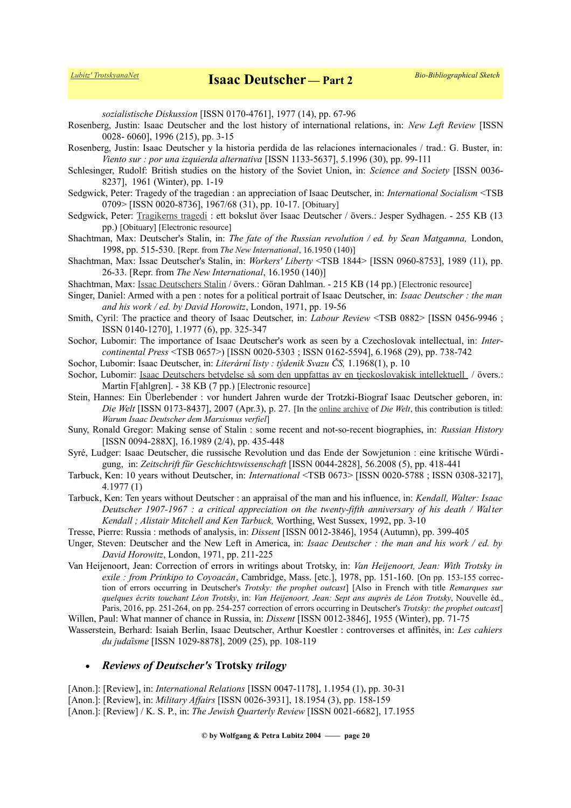*sozialistische Diskussion* [ISSN 0170-4761], 1977 (14), pp. 67-96

- Rosenberg, Justin: Isaac Deutscher and the lost history of international relations, in: *New Left Review* [ISSN 0028- 6060], 1996 (215), pp. 3-15
- Rosenberg, Justin: Isaac Deutscher y la historia perdida de las relaciones internacionales / trad.: G. Buster, in: *Viento sur : por una izquierda alternativa* [ISSN 1133-5637], 5.1996 (30), pp. 99-111
- Schlesinger, Rudolf: British studies on the history of the Soviet Union, in: *Science and Society* [ISSN 0036- 8237], 1961 (Winter), pp. 1-19
- Sedgwick, Peter: Tragedy of the tragedian : an appreciation of Isaac Deutscher, in: *International Socialism* <TSB 0709> [ISSN 0020-8736], 1967/68 (31), pp. 10-17. [Obituary]
- Sedgwick, Peter: [Tragikerns tragedi](http://www.marxistarkiv.se/klassiker/deutscher/om_deutscher/sedgwick-tragikerns_tragedi.pdf) : ett bokslut över Isaac Deutscher / övers.: Jesper Sydhagen. 255 KB (13 pp.) [Obituary] [Electronic resource]
- Shachtman, Max: Deutscher's Stalin, in: *The fate of the Russian revolution / ed. by Sean Matgamna,* London, 1998, pp. 515-530. [Repr. from *The New International*, 16.1950 (140)]
- Shachtman, Max: Issac Deutscher's Stalin, in: *Workers' Liberty* <TSB 1844> [ISSN 0960-8753], 1989 (11), pp. 26-33. [Repr. from *The New International*, 16.1950 (140)]
- Shachtman, Max: [Issac Deutschers Stalin](http://www.marxistarkiv.se/klassiker/shachtman/shachtman-deutschers_stalin.pdf) / övers.: Göran Dahlman. 215 KB (14 pp.) [Electronic resource]
- Singer, Daniel: Armed with a pen : notes for a political portrait of Isaac Deutscher, in: *Isaac Deutscher : the man and his work / ed. by David Horowitz*, London, 1971, pp. 19-56
- Smith, Cyril: The practice and theory of Isaac Deutscher, in: *Labour Review* <TSB 0882> [ISSN 0456-9946 ; ISSN 0140-1270], 1.1977 (6), pp. 325-347
- Sochor, Lubomir: The importance of Isaac Deutscher's work as seen by a Czechoslovak intellectual, in: *Intercontinental Press* <TSB 0657>) [ISSN 0020-5303 ; ISSN 0162-5594], 6.1968 (29), pp. 738-742
- Sochor, Lubomir: Isaac Deutscher, in: *Literární listy : týdenik Svazu ČS,* 1.1968(1), p. 10
- Sochor, Lubomir: [Isaac Deutschers betydelse så som den uppfattas av en tjeckoslovakisk intellektuell](http://www.marxistarkiv.se/klassiker/deutscher/sochor_om_deutschers_betydelse.pdf) / övers.: Martin F[ahlgren]. - 38 KB (7 pp.) [Electronic resource]
- Stein, Hannes: Ein Überlebender : vor hundert Jahren wurde der Trotzki-Biograf Isaac Deutscher geboren, in: *Die Welt* [ISSN 0173-8437], 2007 (Apr.3), p. 27. [In the [online archive](http://www.welt.de/welt_print/article790857/Warum-Isaac-Deutscher-dem-Marxismus-verfiel.html) of *Die Welt*, this contribution is titled: *Warum Isaac Deutscher dem Marxismus verfiel*]
- Suny, Ronald Gregor: Making sense of Stalin : some recent and not-so-recent biographies, in: *Russian History* [ISSN 0094-288X], 16.1989 (2/4), pp. 435-448
- Syré, Ludger: Isaac Deutscher, die russische Revolution und das Ende der Sowjetunion : eine kritische Würdigung, in: *Zeitschrift für Geschichtswissenschaft* [ISSN 0044-2828], 56.2008 (5), pp. 418-441
- Tarbuck, Ken: 10 years without Deutscher, in: *International* <TSB 0673> [ISSN 0020-5788 ; ISSN 0308-3217], 4.1977 (1)
- Tarbuck, Ken: Ten years without Deutscher : an appraisal of the man and his influence, in: *Kendall, Walter: Isaac Deutscher 1907-1967 : a critical appreciation on the twenty-fifth anniversary of his death / Walter Kendall ; Alistair Mitchell and Ken Tarbuck,* Worthing, West Sussex, 1992, pp. 3-10
- Tresse, Pierre: Russia : methods of analysis, in: *Dissent* [ISSN 0012-3846], 1954 (Autumn), pp. 399-405
- Unger, Steven: Deutscher and the New Left in America, in: *Isaac Deutscher : the man and his work / ed. by David Horowitz*, London, 1971, pp. 211-225
- Van Heijenoort, Jean: Correction of errors in writings about Trotsky, in: *Van Heijenoort, Jean: With Trotsky in exile : from Prinkipo to Coyoacán*, Cambridge, Mass. [etc.], 1978, pp. 151-160. [On pp. 153-155 correction of errors occurring in Deutscher's *Trotsky: the prophet outcast*] [Also in French with title *Remarques sur quelques écrits touchant Léon Trotsky*, in: *Van Heijenoort, Jean: Sept ans auprès de Léon Trotsky*, Nouvelle éd., Paris, 2016, pp. 251-264, on pp. 254-257 correction of errors occurring in Deutscher's *Trotsky: the prophet outcast*]
- Willen, Paul: What manner of chance in Russia, in: *Dissent* [ISSN 0012-3846], 1955 (Winter), pp. 71-75
- Wasserstein, Berhard: Isaiah Berlin, Isaac Deutscher, Arthur Koestler : controverses et affinités, in: *Les cahiers du judaȉsme* [ISSN 1029-8878], 2009 (25), pp. 108-119

### *Reviews of Deutscher's* **Trotsky** *trilogy*

[Anon.]: [Review], in: *International Relations* [ISSN 0047-1178], 1.1954 (1), pp. 30-31 [Anon.]: [Review], in: *Military Affairs* [ISSN 0026-3931], 18.1954 (3), pp. 158-159 [Anon.]: [Review] / K. S. P., in: *The Jewish Quarterly Review* [ISSN 0021-6682], 17.1955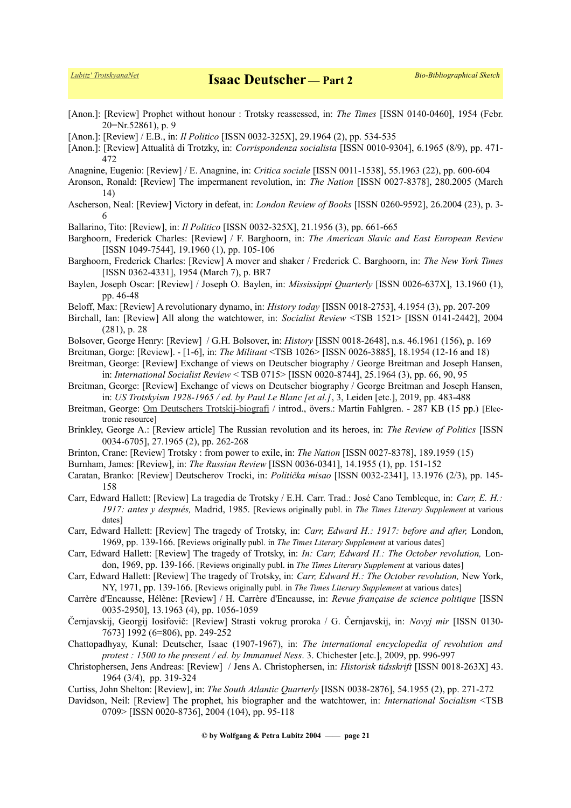- [Anon.]: [Review] Prophet without honour : Trotsky reassessed, in: *The Times* [ISSN 0140-0460], 1954 (Febr. 20=Nr.52861), p. 9
- [Anon.]: [Review] / E.B., in: *Il Politico* [ISSN 0032-325X], 29.1964 (2), pp. 534-535
- [Anon.]: [Review] Attualità di Trotzky, in: *Corrispondenza socialista* [ISSN 0010-9304], 6.1965 (8/9), pp. 471- 472
- Anagnine, Eugenio: [Review] / E. Anagnine, in: *Critica sociale* [ISSN 0011-1538], 55.1963 (22), pp. 600-604
- Aronson, Ronald: [Review] The impermanent revolution, in: *The Nation* [ISSN 0027-8378], 280.2005 (March 14)
- Ascherson, Neal: [Review] Victory in defeat, in: *London Review of Books* [ISSN 0260-9592], 26.2004 (23), p. 3- 6
- Ballarino, Tito: [Review], in: *Il Politico* [ISSN 0032-325X], 21.1956 (3), pp. 661-665
- Barghoorn, Frederick Charles: [Review] / F. Barghoorn, in: *The American Slavic and East European Review* [ISSN 1049-7544], 19.1960 (1), pp. 105-106
- Barghoorn, Frederick Charles: [Review] A mover and shaker / Frederick C. Barghoorn, in: *The New York Times* [ISSN 0362-4331], 1954 (March 7), p. BR7
- Baylen, Joseph Oscar: [Review] / Joseph O. Baylen, in: *Mississippi Quarterly* [ISSN 0026-637X], 13.1960 (1), pp. 46-48
- Beloff, Max: [Review] A revolutionary dynamo, in: *History today* [ISSN 0018-2753], 4.1954 (3), pp. 207-209
- Birchall, Ian: [Review] All along the watchtower, in: *Socialist Review* <TSB 1521> [ISSN 0141-2442], 2004 (281), p. 28
- Bolsover, George Henry: [Review] / G.H. Bolsover, in: *History* [ISSN 0018-2648], n.s. 46.1961 (156), p. 169
- Breitman, Gorge: [Review]. [1-6], in: *The Militant* <TSB 1026> [ISSN 0026-3885], 18.1954 (12-16 and 18)
- Breitman, George: [Review] Exchange of views on Deutscher biography / George Breitman and Joseph Hansen, in: *International Socialist Review* < TSB 0715> [ISSN 0020-8744], 25.1964 (3), pp. 66, 90, 95
- Breitman, George: [Review] Exchange of views on Deutscher biography / George Breitman and Joseph Hansen, in: *US Trotskyism 1928-1965 / ed. by Paul Le Blanc [et al.]*, 3, Leiden [etc.], 2019, pp. 483-488
- Breitman, George: [Om Deutschers Trotskij-biografi](http://www.marxistarkiv.se/klassiker/breitman/om_deutschers_trotskijbiografi.pdf) / introd., övers.: Martin Fahlgren. 287 KB (15 pp.) [Electronic resource]
- Brinkley, George A.: [Review article] The Russian revolution and its heroes, in: *The Review of Politics* [ISSN 0034-6705], 27.1965 (2), pp. 262-268
- Brinton, Crane: [Review] Trotsky : from power to exile, in: *The Nation* [ISSN 0027-8378], 189.1959 (15)
- Burnham, James: [Review], in: *The Russian Review* [ISSN 0036-0341], 14.1955 (1), pp. 151-152
- Caratan, Branko: [Review] Deutscherov Trocki, in: *Politička misao* [ISSN 0032-2341], 13.1976 (2/3), pp. 145- 158
- Carr, Edward Hallett: [Review] La tragedia de Trotsky / E.H. Carr. Trad.: José Cano Tembleque, in: *Carr, E. H.: 1917: antes y después,* Madrid, 1985. [Reviews originally publ. in *The Times Literary Supplement* at various dates]
- Carr, Edward Hallett: [Review] The tragedy of Trotsky, in: *Carr, Edward H.: 1917: before and after,* London, 1969, pp. 139-166. [Reviews originally publ. in *The Times Literary Supplement* at various dates]
- Carr, Edward Hallett: [Review] The tragedy of Trotsky, in: *In: Carr, Edward H.: The October revolution,* London, 1969, pp. 139-166. [Reviews originally publ. in *The Times Literary Supplement* at various dates]
- Carr, Edward Hallett: [Review] The tragedy of Trotsky, in: *Carr, Edward H.: The October revolution,* New York, NY, 1971, pp. 139-166. [Reviews originally publ. in *The Times Literary Supplement* at various dates]
- Carrère d'Encausse, Hélène: [Review] / H. Carrère d'Encausse, in: *Revue française de science politique* [ISSN 0035-2950], 13.1963 (4), pp. 1056-1059
- Černjavskij, Georgij Iosifovič: [Review] Strasti vokrug proroka / G. Černjavskij, in: *Novyj mir* [ISSN 0130- 7673] 1992 (6=806), pp. 249-252
- Chattopadhyay, Kunal: Deutscher, Isaac (1907-1967), in: *The international encyclopedia of revolution and protest : 1500 to the present / ed. by Immanuel Ness*. 3. Chichester [etc.], 2009, pp. 996-997
- Christophersen, Jens Andreas: [Review] / Jens A. Christophersen, in: *Historisk tidsskrift* [ISSN 0018-263X] 43. 1964 (3/4), pp. 319-324
- Curtiss, John Shelton: [Review], in: *The South Atlantic Quarterly* [ISSN 0038-2876], 54.1955 (2), pp. 271-272
- Davidson, Neil: [Review] The prophet, his biographer and the watchtower, in: *International Socialism* <TSB 0709> [ISSN 0020-8736], 2004 (104), pp. 95-118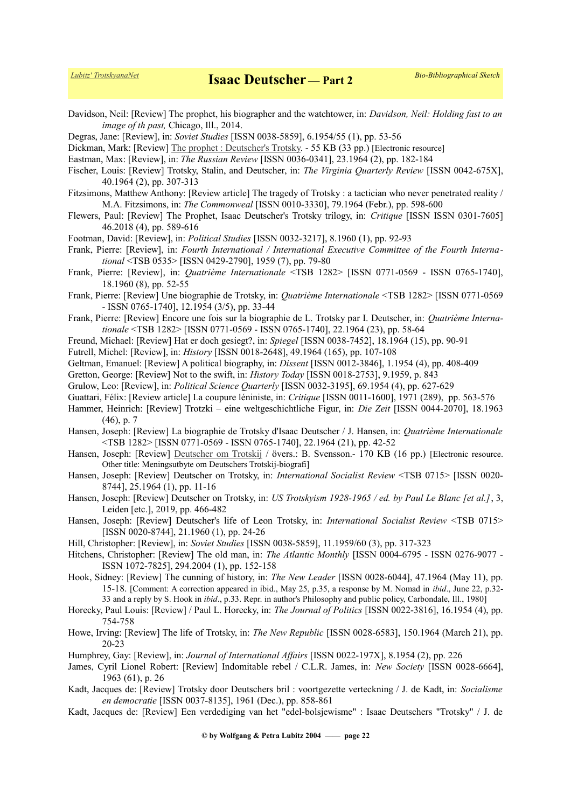Davidson, Neil: [Review] The prophet, his biographer and the watchtower, in: *Davidson, Neil: Holding fast to an image of th past,* Chicago, Ill., 2014.

Degras, Jane: [Review], in: *Soviet Studies* [ISSN 0038-5859], 6.1954/55 (1), pp. 53-56

Dickman, Mark: [Review] [The prophet : Deutscher's Trotsky.](https://www.counterpunch.org/2017/02/14/the-prophet-deutschers-trotsky/) - 55 KB (33 pp.) [Electronic resource]

Eastman, Max: [Review], in: *The Russian Review* [ISSN 0036-0341], 23.1964 (2), pp. 182-184

- Fischer, Louis: [Review] Trotsky, Stalin, and Deutscher, in: *The Virginia Quarterly Review* [ISSN 0042-675X], 40.1964 (2), pp. 307-313
- Fitzsimons, Matthew Anthony: [Review article] The tragedy of Trotsky : a tactician who never penetrated reality / M.A. Fitzsimons, in: *The Commonweal* [ISSN 0010-3330], 79.1964 (Febr.), pp. 598-600
- Flewers, Paul: [Review] The Prophet, Isaac Deutscher's Trotsky trilogy, in: *Critique* [ISSN ISSN 0301-7605] 46.2018 (4), pp. 589-616
- Footman, David: [Review], in: *Political Studies* [ISSN 0032-3217], 8.1960 (1), pp. 92-93
- Frank, Pierre: [Review], in: *Fourth International / International Executive Committee of the Fourth International* <TSB 0535> [ISSN 0429-2790], 1959 (7), pp. 79-80
- Frank, Pierre: [Review], in: *Quatrième Internationale* <TSB 1282> [ISSN 0771-0569 ISSN 0765-1740], 18.1960 (8), pp. 52-55

Frank, Pierre: [Review] Une biographie de Trotsky, in: *Quatrième Internationale* <TSB 1282> [ISSN 0771-0569 - ISSN 0765-1740], 12.1954 (3/5), pp. 33-44

Frank, Pierre: [Review] Encore une fois sur la biographie de L. Trotsky par I. Deutscher, in: *Quatrième Internationale* <TSB 1282> [ISSN 0771-0569 - ISSN 0765-1740], 22.1964 (23), pp. 58-64

- Freund, Michael: [Review] Hat er doch gesiegt?, in: *Spiegel* [ISSN 0038-7452], 18.1964 (15), pp. 90-91
- Futrell, Michel: [Review], in: *History* [ISSN 0018-2648], 49.1964 (165), pp. 107-108

Geltman, Emanuel: [Review] A political biography, in: *Dissent* [ISSN 0012-3846], 1.1954 (4), pp. 408-409

- Gretton, George: [Review] Not to the swift, in: *History Today* [ISSN 0018-2753], 9.1959, p. 843
- Grulow, Leo: [Review], in: *Political Science Quarterly* [ISSN 0032-3195], 69.1954 (4), pp. 627-629
- Guattari, Félix: [Review article] La coupure léniniste, in: *Critique* [ISSN 0011-1600], 1971 (289), pp. 563-576
- Hammer, Heinrich: [Review] Trotzki eine weltgeschichtliche Figur, in: *Die Zeit* [ISSN 0044-2070], 18.1963 (46), p. 7
- Hansen, Joseph: [Review] La biographie de Trotsky d'Isaac Deutscher / J. Hansen, in: *Quatrième Internationale* <TSB 1282> [ISSN 0771-0569 - ISSN 0765-1740], 22.1964 (21), pp. 42-52
- Hansen, Joseph: [Review] [Deutscher om Trotskij](http://www.marxistarkiv.se/klassiker/deutscher/om_deutscher/deutscher_om_trotskij.pdf) / övers.: B. Svensson.- 170 KB (16 pp.) [Electronic resource. Other title: Meningsutbyte om Deutschers Trotskij-biografi]
- Hansen, Joseph: [Review] Deutscher on Trotsky, in: *International Socialist Review* <TSB 0715> [ISSN 0020- 8744], 25.1964 (1), pp. 11-16
- Hansen, Joseph: [Review] Deutscher on Trotsky, in: *US Trotskyism 1928-1965 / ed. by Paul Le Blanc [et al.]*, 3, Leiden [etc.], 2019, pp. 466-482
- Hansen, Joseph: [Review] Deutscher's life of Leon Trotsky, in: *International Socialist Review* <TSB 0715> [ISSN 0020-8744], 21.1960 (1), pp. 24-26
- Hill, Christopher: [Review], in: *Soviet Studies* [ISSN 0038-5859], 11.1959/60 (3), pp. 317-323

Hitchens, Christopher: [Review] The old man, in: *The Atlantic Monthly* [ISSN 0004-6795 - ISSN 0276-9077 - ISSN 1072-7825], 294.2004 (1), pp. 152-158

- Hook, Sidney: [Review] The cunning of history, in: *The New Leader* [ISSN 0028-6044], 47.1964 (May 11), pp. 15-18. [Comment: A correction appeared in ibid., May 25, p.35, a response by M. Nomad in *ibid*., June 22, p.32- 33 and a reply by S. Hook in *ibid*., p.33. Repr. in author's Philosophy and public policy, Carbondale, Ill., 1980]
- Horecky, Paul Louis: [Review] / Paul L. Horecky, in: *The Journal of Politics* [ISSN 0022-3816], 16.1954 (4), pp. 754-758
- Howe, Irving: [Review] The life of Trotsky, in: *The New Republic* [ISSN 0028-6583], 150.1964 (March 21), pp. 20-23

Humphrey, Gay: [Review], in: *Journal of International Affairs* [ISSN 0022-197X], 8.1954 (2), pp. 226

- James, Cyril Lionel Robert: [Review] Indomitable rebel / C.L.R. James, in: *New Society* [ISSN 0028-6664], 1963 (61), p. 26
- Kadt, Jacques de: [Review] Trotsky door Deutschers bril : voortgezette verteckning / J. de Kadt, in: *Socialisme en democratie* [ISSN 0037-8135], 1961 (Dec.), pp. 858-861
- Kadt, Jacques de: [Review] Een verdediging van het "edel-bolsjewisme" : Isaac Deutschers "Trotsky" / J. de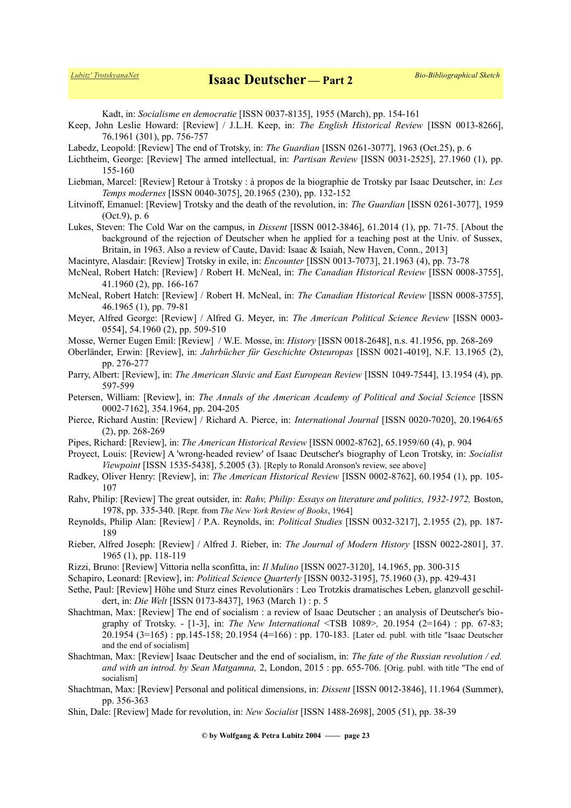Kadt, in: *Socialisme en democratie* [ISSN 0037-8135], 1955 (March), pp. 154-161

Keep, John Leslie Howard: [Review] / J.L.H. Keep, in: *The English Historical Review* [ISSN 0013-8266], 76.1961 (301), pp. 756-757

Labedz, Leopold: [Review] The end of Trotsky, in: *The Guardian* [ISSN 0261-3077], 1963 (Oct.25), p. 6

- Lichtheim, George: [Review] The armed intellectual, in: *Partisan Review* [ISSN 0031-2525], 27.1960 (1), pp. 155-160
- Liebman, Marcel: [Review] Retour à Trotsky : à propos de la biographie de Trotsky par Isaac Deutscher, in: *Les Temps modernes* [ISSN 0040-3075], 20.1965 (230), pp. 132-152
- Litvinoff, Emanuel: [Review] Trotsky and the death of the revolution, in: *The Guardian* [ISSN 0261-3077], 1959 (Oct.9), p. 6
- Lukes, Steven: The Cold War on the campus, in *Dissent* [ISSN 0012-3846], 61.2014 (1), pp. 71-75. [About the background of the rejection of Deutscher when he applied for a teaching post at the Univ. of Sussex, Britain, in 1963. Also a review of Caute, David: Isaac & Isaiah, New Haven, Conn., 2013]

Macintyre, Alasdair: [Review] Trotsky in exile, in: *Encounter* [ISSN 0013-7073], 21.1963 (4), pp. 73-78

- McNeal, Robert Hatch: [Review] / Robert H. McNeal, in: *The Canadian Historical Review* [ISSN 0008-3755], 41.1960 (2), pp. 166-167
- McNeal, Robert Hatch: [Review] / Robert H. McNeal, in: *The Canadian Historical Review* [ISSN 0008-3755], 46.1965 (1), pp. 79-81
- Meyer, Alfred George: [Review] / Alfred G. Meyer, in: *The American Political Science Review* [ISSN 0003- 0554], 54.1960 (2), pp. 509-510
- Mosse, Werner Eugen Emil: [Review] / W.E. Mosse, in: *History* [ISSN 0018-2648], n.s. 41.1956, pp. 268-269
- Oberländer, Erwin: [Review], in: *Jahrbücher für Geschichte Osteuropas* [ISSN 0021-4019], N.F. 13.1965 (2), pp. 276-277
- Parry, Albert: [Review], in: *The American Slavic and East European Review* [ISSN 1049-7544], 13.1954 (4), pp. 597-599
- Petersen, William: [Review], in: *The Annals of the American Academy of Political and Social Science* [ISSN 0002-7162], 354.1964, pp. 204-205
- Pierce, Richard Austin: [Review] / Richard A. Pierce, in: *International Journal* [ISSN 0020-7020], 20.1964/65 (2), pp. 268-269
- Pipes, Richard: [Review], in: *The American Historical Review* [ISSN 0002-8762], 65.1959/60 (4), p. 904
- Proyect, Louis: [Review] A 'wrong-headed review' of Isaac Deutscher's biography of Leon Trotsky, in: *Socialist Viewpoint* [ISSN 1535-5438], 5.2005 (3). [Reply to Ronald Aronson's review, see above]
- Radkey, Oliver Henry: [Review], in: *The American Historical Review* [ISSN 0002-8762], 60.1954 (1), pp. 105- 107
- Rahv, Philip: [Review] The great outsider, in: *Rahv, Philip: Essays on literature and politics, 1932-1972*, Boston, 1978, pp. 335-340. [Repr. from *The New York Review of Books*, 1964]
- Reynolds, Philip Alan: [Review] / P.A. Reynolds, in: *Political Studies* [ISSN 0032-3217], 2.1955 (2), pp. 187- 189
- Rieber, Alfred Joseph: [Review] / Alfred J. Rieber, in: *The Journal of Modern History* [ISSN 0022-2801], 37. 1965 (1), pp. 118-119
- Rizzi, Bruno: [Review] Vittoria nella sconfitta, in: *Il Mulino* [ISSN 0027-3120], 14.1965, pp. 300-315
- Schapiro, Leonard: [Review], in: *Political Science Quarterly* [ISSN 0032-3195], 75.1960 (3), pp. 429-431
- Sethe, Paul: [Review] Höhe und Sturz eines Revolutionärs : Leo Trotzkis dramatisches Leben, glanzvoll geschildert, in: *Die Welt* [ISSN 0173-8437], 1963 (March 1) : p. 5
- Shachtman, Max: [Review] The end of socialism : a review of Isaac Deutscher ; an analysis of Deutscher's biography of Trotsky. - [1-3], in: *The New International* <TSB 1089>*,* 20.1954 (2=164) : pp. 67-83; 20.1954 (3=165) : pp.145-158; 20.1954 (4=166) : pp. 170-183. [Later ed. publ. with title "Isaac Deutscher and the end of socialism]
- Shachtman, Max: [Review] Isaac Deutscher and the end of socialism, in: *The fate of the Russian revolution / ed. and with an introd. by Sean Matgamna,* 2, London, 2015 : pp. 655-706. [Orig. publ. with title "The end of socialism]
- Shachtman, Max: [Review] Personal and political dimensions, in: *Dissent* [ISSN 0012-3846], 11.1964 (Summer), pp. 356-363
- Shin, Dale: [Review] Made for revolution, in: *New Socialist* [ISSN 1488-2698], 2005 (51), pp. 38-39

**© by Wolfgang & Petra Lubitz 2004 —— page 23**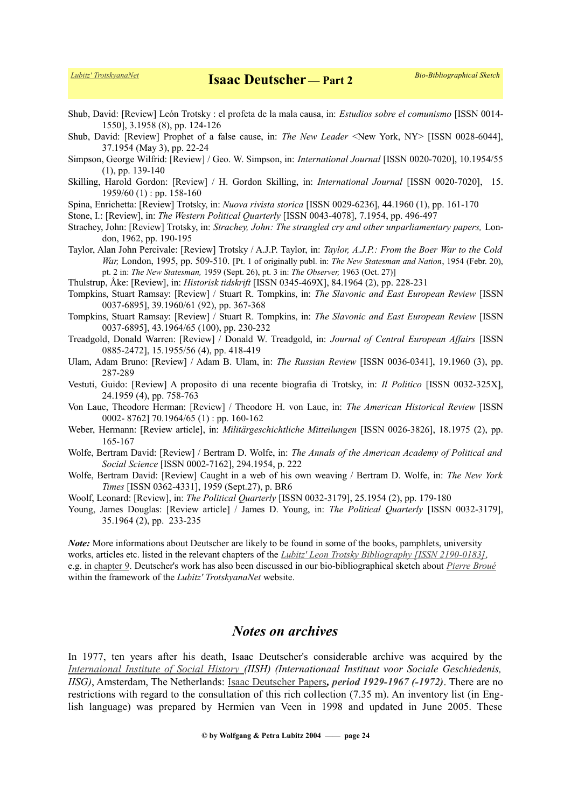*[Lubitz' TrotskyanaNet](https://www.trotskyana.net/)* **Isaac Deutscher — Part 2** *Bio-Bibliographical Sketch*

Shub, David: [Review] León Trotsky : el profeta de la mala causa, in: *Estudios sobre el comunismo* [ISSN 0014- 1550], 3.1958 (8), pp. 124-126

Shub, David: [Review] Prophet of a false cause, in: *The New Leader* <New York, NY> [ISSN 0028-6044], 37.1954 (May 3), pp. 22-24

Simpson, George Wilfrid: [Review] / Geo. W. Simpson, in: *International Journal* [ISSN 0020-7020], 10.1954/55 (1), pp. 139-140

Skilling, Harold Gordon: [Review] / H. Gordon Skilling, in: *International Journal* [ISSN 0020-7020], 15. 1959/60 (1) : pp. 158-160

Spina, Enrichetta: [Review] Trotsky, in: *Nuova rivista storica* [ISSN 0029-6236], 44.1960 (1), pp. 161-170

Stone, I.: [Review], in: *The Western Political Quarterly* [ISSN 0043-4078], 7.1954, pp. 496-497

Strachey, John: [Review] Trotsky, in: *Strachey, John: The strangled cry and other unparliamentary papers*. London, 1962, pp. 190-195

Taylor, Alan John Percivale: [Review] Trotsky / A.J.P. Taylor, in: *Taylor, A.J.P.: From the Boer War to the Cold War,* London, 1995, pp. 509-510. [Pt. 1 of originally publ. in: *The New Statesman and Nation*, 1954 (Febr. 20), pt. 2 in: *The New Statesman,* 1959 (Sept. 26), pt. 3 in: *The Observer,* 1963 (Oct. 27)]

Thulstrup, Åke: [Review], in: *Historisk tidskrift* [ISSN 0345-469X], 84.1964 (2), pp. 228-231

Tompkins, Stuart Ramsay: [Review] / Stuart R. Tompkins, in: *The Slavonic and East European Review* [ISSN 0037-6895], 39.1960/61 (92), pp. 367-368

Tompkins, Stuart Ramsay: [Review] / Stuart R. Tompkins, in: *The Slavonic and East European Review* [ISSN 0037-6895], 43.1964/65 (100), pp. 230-232

Treadgold, Donald Warren: [Review] / Donald W. Treadgold, in: *Journal of Central European Affairs* [ISSN 0885-2472], 15.1955/56 (4), pp. 418-419

Ulam, Adam Bruno: [Review] / Adam B. Ulam, in: *The Russian Review* [ISSN 0036-0341], 19.1960 (3), pp. 287-289

Vestuti, Guido: [Review] A proposito di una recente biografia di Trotsky, in: *Il Politico* [ISSN 0032-325X], 24.1959 (4), pp. 758-763

Von Laue, Theodore Herman: [Review] / Theodore H. von Laue, in: *The American Historical Review* [ISSN 0002- 8762] 70.1964/65 (1) : pp. 160-162

Weber, Hermann: [Review article], in: *Militärgeschichtliche Mitteilungen* [ISSN 0026-3826], 18.1975 (2), pp. 165-167

Wolfe, Bertram David: [Review] / Bertram D. Wolfe, in: *The Annals of the American Academy of Political and Social Science* [ISSN 0002-7162], 294.1954, p. 222

Wolfe, Bertram David: [Review] Caught in a web of his own weaving / Bertram D. Wolfe, in: *The New York Times* [ISSN 0362-4331], 1959 (Sept.27), p. BR6

Woolf, Leonard: [Review], in: *The Political Quarterly* [ISSN 0032-3179], 25.1954 (2), pp. 179-180

Young, James Douglas: [Review article] / James D. Young, in: *The Political Quarterly* [ISSN 0032-3179], 35.1964 (2), pp. 233-235

*Note:* More informations about Deutscher are likely to be found in some of the books, pamphlets, university works, articles etc. listed in the relevant chapters of the *[Lubitz' Leon Trotsky Bibliography \[ISSN 2190-0183\],](https://www.trotskyana.net/LubitzBibliographies/Trotsky_Bibliography/Leon_Trotsky_Bibliography.html)*  e.g. in [chapter 9.](https://www.trotskyana.net/LubitzBibliographies/Trotsky_Bibliography/Leon_Trotsky_Bibliography_09.html) Deutscher's work has also been discussed in our bio-bibliographical sketch about *[Pierre Broué](https://www.trotskyana.net/Trotskyists/Pierre_Broue/pierre_broue.html)* within the framework of the *Lubitz' TrotskyanaNet* website.

# *Notes on archives*

In 1977, ten years after his death, Isaac Deutscher's considerable archive was acquired by the  *[Internaional Institute of Social History](https://www.trotskyana.net/Research_facilities/PublicArchives_Europe/publicarchives_europe.html#iish) (IISH) (Internationaal Instituut voor Sociale Geschiedenis, IISG)*, Amsterdam, The Netherlands: [Isaac Deutscher Papers](https://search.socialhistory.org/Record/ARCH00462)*, [period 1929-1967 \(-1972\)](http://www.iisg.nl/archives/en/files/d/10748983full.php)*. There are no restrictions with regard to the consultation of this rich collection (7.35 m). An inventory list (in English language) was prepared by Hermien van Veen in 1998 and updated in June 2005. These